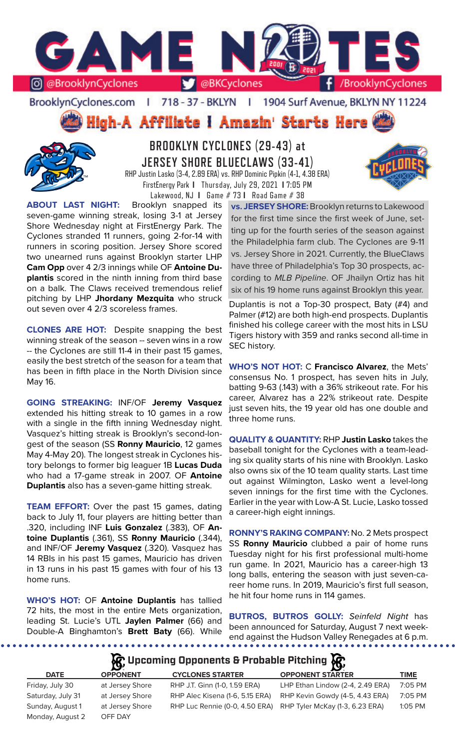

BrooklynCyclones.com | 718 - 37 - BKLYN | 1904 Surf Avenue, BKLYN NY 11224

**High-A Affiliate I Amazin' Starts Here** 



# **BROOKLYN CYCLONES (29-43) at JERSEY SHORE BLUECLAWS (33-41)** RHP Justin Lasko (3-4, 2.89 ERA) vs. RHP Dominic Pipkin (4-1, 4.38 ERA) FirstEnergy Park **I** Thursday, July 29, 2021 **I** 7:05 PM

Lakewood, NJ **I** Game # 73 **I** Road Game # 38



**ABOUT LAST NIGHT:** Brooklyn snapped its seven-game winning streak, losing 3-1 at Jersey Shore Wednesday night at FirstEnergy Park. The Cyclones stranded 11 runners, going 2-for-14 with runners in scoring position. Jersey Shore scored two unearned runs against Brooklyn starter LHP **Cam Opp** over 4 2/3 innings while OF **Antoine Duplantis** scored in the ninth inning from third base on a balk. The Claws received tremendous relief pitching by LHP **Jhordany Mezquita** who struck out seven over 4 2/3 scoreless frames.

**CLONES ARE HOT:** Despite snapping the best winning streak of the season -- seven wins in a row -- the Cyclones are still 11-4 in their past 15 games, easily the best stretch of the season for a team that has been in fifth place in the North Division since May 16.

**GOING STREAKING:** INF/OF **Jeremy Vasquez**  extended his hitting streak to 10 games in a row with a single in the fifth inning Wednesday night. Vasquez's hitting streak is Brooklyn's second-longest of the season (SS **Ronny Mauricio**, 12 games May 4-May 20). The longest streak in Cyclones history belongs to former big leaguer 1B **Lucas Duda**  who had a 17-game streak in 2007. OF **Antoine Duplantis** also has a seven-game hitting streak.

**TEAM EFFORT:** Over the past 15 games, dating back to July 11, four players are hitting better than .320, including INF **Luis Gonzalez** (.383), OF **Antoine Duplantis** (.361), SS **Ronny Mauricio** (.344), and INF/OF **Jeremy Vasquez** (.320). Vasquez has 14 RBIs in his past 15 games, Mauricio has driven in 13 runs in his past 15 games with four of his 13 home runs.

**WHO'S HOT:** OF **Antoine Duplantis** has tallied 72 hits, the most in the entire Mets organization, leading St. Lucie's UTL **Jaylen Palmer** (66) and Double-A Binghamton's **Brett Baty** (66). While

**vs. JERSEY SHORE:** Brooklyn returns to Lakewood for the first time since the first week of June, setting up for the fourth series of the season against the Philadelphia farm club. The Cyclones are 9-11 vs. Jersey Shore in 2021. Currently, the BlueClaws have three of Philadelphia's Top 30 prospects, according to *MLB Pipeline*. OF Jhailyn Ortiz has hit six of his 19 home runs against Brooklyn this year.

Duplantis is not a Top-30 prospect, Baty (#4) and Palmer (#12) are both high-end prospects. Duplantis finished his college career with the most hits in LSU Tigers history with 359 and ranks second all-time in SEC history.

**WHO'S NOT HOT:** C **Francisco Alvarez**, the Mets' consensus No. 1 prospect, has seven hits in July, batting 9-63 (.143) with a 36% strikeout rate. For his career, Alvarez has a 22% strikeout rate. Despite just seven hits, the 19 year old has one double and three home runs.

**QUALITY & QUANTITY:** RHP **Justin Lasko** takes the baseball tonight for the Cyclones with a team-leading six quality starts of his nine with Brooklyn. Lasko also owns six of the 10 team quality starts. Last time out against Wilmington, Lasko went a level-long seven innings for the first time with the Cyclones. Earlier in the year with Low-A St. Lucie, Lasko tossed a career-high eight innings.

**RONNY'S RAKING COMPANY:** No. 2 Mets prospect SS **Ronny Mauricio** clubbed a pair of home runs Tuesday night for his first professional multi-home run game. In 2021, Mauricio has a career-high 13 long balls, entering the season with just seven-career home runs. In 2019, Mauricio's first full season, he hit four home runs in 114 games.

**BUTROS, BUTROS GOLLY:** *Seinfeld Night* has been announced for Saturday, August 7 next weekend against the Hudson Valley Renegades at 6 p.m.

# **A**: Upcoming Opponents & Probable Pitching  $\mathbb{R}$

|                   |                 |                                 | $\sim$                                                         |             |
|-------------------|-----------------|---------------------------------|----------------------------------------------------------------|-------------|
| <b>DATE</b>       | <b>OPPONENT</b> | <b>CYCLONES STARTER</b>         | <b>OPPONENT STARTER</b>                                        | <b>TIME</b> |
| Friday, July 30   | at Jersey Shore | RHP J.T. Ginn (1-0, 1.59 ERA)   | LHP Ethan Lindow (2-4, 2.49 ERA)                               | 7:05 PM     |
| Saturday, July 31 | at Jersey Shore | RHP Alec Kisena (1-6, 5.15 ERA) | RHP Kevin Gowdy (4-5, 4.43 ERA)                                | 7:05 PM     |
| Sunday, August 1  | at Jersey Shore |                                 | RHP Luc Rennie (0-0, 4.50 ERA) RHP Tyler McKay (1-3, 6.23 ERA) | 1:05 PM     |
| Monday, August 2  | OFF DAY         |                                 |                                                                |             |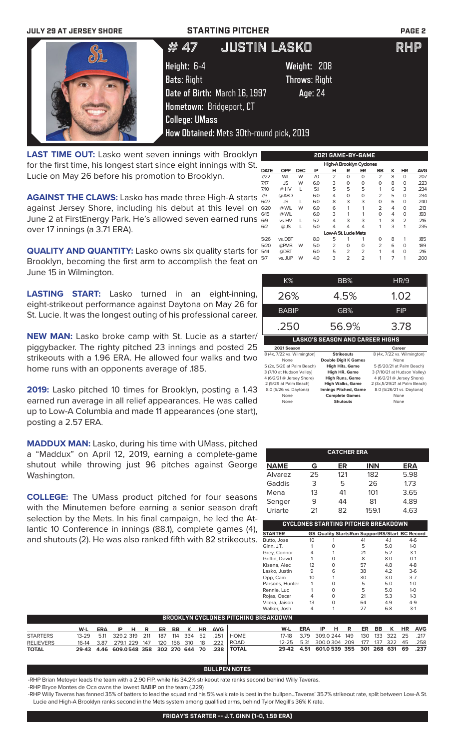### **JULY 29 AT JERSEY SHORE STARTING PITCHER PAGE 2**



**LAST TIME OUT:** Lasko went seven innings with Brooklyn for the first time, his longest start since eight innings with St. Lucie on May 26 before his promotion to Brooklyn.

**AGAINST THE CLAWS:** Lasko has made three High-A starts against Jersey Shore, including his debut at this level on June 2 at FirstEnergy Park. He's allowed seven earned runs over 17 innings (a 3.71 ERA).

**QUALITY AND QUANTITY:** Lasko owns six quality starts for Brooklyn, becoming the first arm to accomplish the feat on June 15 in Wilmington.

**LASTING START:** Lasko turned in an eight-inning, eight-strikeout performance against Daytona on May 26 for St. Lucie. It was the longest outing of his professional career.

**NEW MAN:** Lasko broke camp with St. Lucie as a starter/ piggybacker. The righty pitched 23 innings and posted 25 strikeouts with a 1.96 ERA. He allowed four walks and two home runs with an opponents average of .185.

**2019:** Lasko pitched 10 times for Brooklyn, posting a 1.43 earned run average in all relief appearances. He was called up to Low-A Columbia and made 11 appearances (one start), posting a 2.57 ERA.

**MADDUX MAN:** Lasko, during his time with UMass, pitched a "Maddux" on April 12, 2019, earning a complete-game shutout while throwing just 96 pitches against George Washington.

**COLLEGE:** The UMass product pitched for four seasons with the Minutemen before earning a senior season draft selection by the Mets. In his final campaign, he led the Atlantic 10 Conference in innings (88.1), complete games (4), and shutouts (2). He was also ranked fifth with 82 strikeouts.

| <b>OPP</b> | <b>DEC</b> | IP  | н              | R              | ER             | BB                   | κ                                             | <b>HR</b>      | <b>AVG</b> |
|------------|------------|-----|----------------|----------------|----------------|----------------------|-----------------------------------------------|----------------|------------|
| <b>WIL</b> | W          | 7.0 | 2              | 0              | O              | $\overline{2}$       | 8                                             | 0              | .207       |
| JS         | W          | 6.0 | 3              | 0              | O              | 0                    | 8                                             | 0              | .223       |
| @ HV       | L          | 5.1 | 5              | 5              | 5              |                      | 6                                             | 3              | .234       |
| @ ABD      |            | 6.0 | 4              | 0              | O              | $\overline{2}$       | 5                                             | $\Omega$       | .234       |
| <b>JS</b>  | т          | 6.0 | 8              | 3              | 3              | 0                    | 6                                             | $\Omega$       | .240       |
| @ WIL      | W          | 6.0 | 6              |                | 1              | $\overline{2}$       | 4                                             | $\Omega$       | .213       |
| @ WIL      |            | 6.0 | 3              |                |                | 0                    | 4                                             | 0              | .193       |
| vs. HV     | L          | 5.2 | 4              | 3              | 3              | 1                    | 8                                             | $\overline{2}$ | .216       |
| $@$ JS     | L          | 5.0 | 4              | 4              | 4              | 1                    | 3                                             | 1              | .235       |
|            |            |     |                |                |                |                      |                                               |                |            |
| vs. DBT    |            | 8.0 | 5              |                |                | $\Omega$             | 8                                             | 1              | .185       |
| @PMB       | W          | 5.0 | $\overline{2}$ | $\Omega$       | O              | $\overline{2}$       | 6                                             | $\Omega$       | .189       |
| @DBT       |            | 6.0 | 5              | 2              | $\overline{2}$ | 1                    | 4                                             | 0              | .216       |
| vs. JUP    | W          | 4.0 | 3              | $\overline{2}$ | $\overline{2}$ |                      | 7                                             | 1              | .200       |
|            |            |     |                |                |                | Low-A St. Lucie Mets | 2021 GAME-BY-GAME<br>High-A Brooklyn Cyclones |                |            |

| K%                          | BB%                                    | <b>HR/9</b>                   |
|-----------------------------|----------------------------------------|-------------------------------|
| 26%                         | 4.5%                                   | 1.02                          |
| <b>BABIP</b>                | GB%                                    | FIP                           |
| .250                        | 56.9%                                  | 3.78                          |
|                             | <b>LASKO'S SEASON AND CAREER HIGHS</b> |                               |
|                             |                                        |                               |
| 2021 Season                 |                                        | Career                        |
| 8 (4x, 7/22 vs. Wilmington) | <b>Strikeouts</b>                      | 8 (4x, 7/22 vs. Wilmington)   |
| None                        | <b>Double Digit K Games</b>            | None                          |
| 5 (2x, 5/20 at Palm Beach)  | <b>High Hits, Game</b>                 | 5 (5/20/21 at Palm Beach)     |
| 3 (7/10 at Hudson Valley)   | High HR, Game                          | 3 (7/10/21 at Hudson Valley)  |
| 4 (6/2/21 @ Jersey Shore)   | <b>High Runs, Game</b>                 | 4 (6/2/21 @ Jersey Shore)     |
| 2 (5/29 at Palm Beach)      | <b>High Walks, Game</b>                | 2 (3x, 5/29/21 at Palm Beach) |
| 8.0 (5/26 vs. Daytona)      | <b>Innings Pitched, Game</b>           | 8.0 (5/26/21 vs. Daytona)     |

None **Shutouts** None

|                   |    | <b>CATCHER ERA</b> |                                     |                                                       |
|-------------------|----|--------------------|-------------------------------------|-------------------------------------------------------|
| <b>NAME</b>       | G  | ER                 | <b>INN</b>                          | <b>ERA</b>                                            |
| Alvarez           | 25 | 121                | 182                                 | 5.98                                                  |
| Gaddis            | 3  | 5                  | 26                                  | 1.73                                                  |
| Mena              | 13 | 41                 | 101                                 | 3.65                                                  |
| Senger            | 9  | 44                 | 81                                  | 4.89                                                  |
| Uriarte           | 21 | 82                 | 159.1                               | 4.63                                                  |
|                   |    |                    | CYCLONES STARTING PITCHER BREAKDOWN |                                                       |
| <b>STARTER</b>    |    |                    |                                     | <b>GS Quality StartsRun SupportRS/Start BC Record</b> |
| <b>Butto</b> Jose | 10 |                    | 41                                  | $4-6$<br>41                                           |

| $\sim$ . And the set |    |          | os waanty startsitun sapportits/start DC hecord |     |         |  |
|----------------------|----|----------|-------------------------------------------------|-----|---------|--|
| Butto, Jose          | 10 |          | 41                                              | 4.1 | $4-6$   |  |
| Ginn, J.T.           |    | O        | 5                                               | 5.0 | $1 - 0$ |  |
| Grey, Connor         |    |          | 21                                              | 5.2 | $3-1$   |  |
| Griffin, David       |    | 0        | 8                                               | 8.0 | $O-1$   |  |
| Kisena, Alec         | 12 | $\Omega$ | 57                                              | 4.8 | $4 - 8$ |  |
| Lasko, Justin        | 9  | 6        | 38                                              | 4.2 | $3-6$   |  |
| Opp, Cam             | 10 |          | 30                                              | 3.0 | $3-7$   |  |
| Parsons, Hunter      |    | O        | 5                                               | 5.0 | $1 - 0$ |  |
| Rennie, Luc          |    | 0        | 5                                               | 5.0 | $1 - 0$ |  |
| Rojas, Oscar         |    | $\Omega$ | 21                                              | 5.3 | $1-3$   |  |
| Vilera, Jaison       | 13 | $\Omega$ | 64                                              | 4.9 | $4-9$   |  |
| Walker, Josh         | 4  |          | 27                                              | 6.8 | $3-1$   |  |
|                      |    |          |                                                 |     |         |  |

| BROOKLYN CYCLONES PITCHING BREAKDOWN |                          |     |      |  |  |  |  |  |                |                                                   |                                              |     |      |  |  |  |                     |
|--------------------------------------|--------------------------|-----|------|--|--|--|--|--|----------------|---------------------------------------------------|----------------------------------------------|-----|------|--|--|--|---------------------|
|                                      | W-L                      | ERA | IPHR |  |  |  |  |  | ER BB K HR AVG |                                                   | W-L                                          | ERA | IPHR |  |  |  | ER BB K HR AVG      |
| <b>STARTERS</b>                      | 13-29 5.11 329.2 319 211 |     |      |  |  |  |  |  |                | 187 114 334 52 .251 HOME                          | 17-18 3.79 309.0 244 149                     |     |      |  |  |  | 130 133 322 25 .217 |
| <b>RELIEVERS</b>                     |                          |     |      |  |  |  |  |  |                | 16-14 3.87 279.1 229 147 120 156 310 18 .222 ROAD | 12-25 5.31 300.0 304 209 177 137 322 45 .258 |     |      |  |  |  |                     |
| <b>TOTAL</b>                         |                          |     |      |  |  |  |  |  |                | 29-43 4.46 609.0548 358 302 270 644 70 .238 TOTAL | 29-42 4.51 601.0 539 355 301 268 631 69 .237 |     |      |  |  |  |                     |

### **BULLPEN NOTES**

-RHP Brian Metoyer leads the team with a 2.90 FIP, while his 34.2% strikeout rate ranks second behind Willy Taveras.

-RHP Bryce Montes de Oca owns the lowest BABIP on the team (.229)

-RHP Willy Taveras has fanned 35% of batters to lead the squad and his 5% walk rate is best in the bullpen...Taveras' 35.7% strikeout rate, split between Low-A St. Lucie and High-A Brooklyn ranks second in the Mets system among qualified arms, behind Tylor Megill's 36% K rate.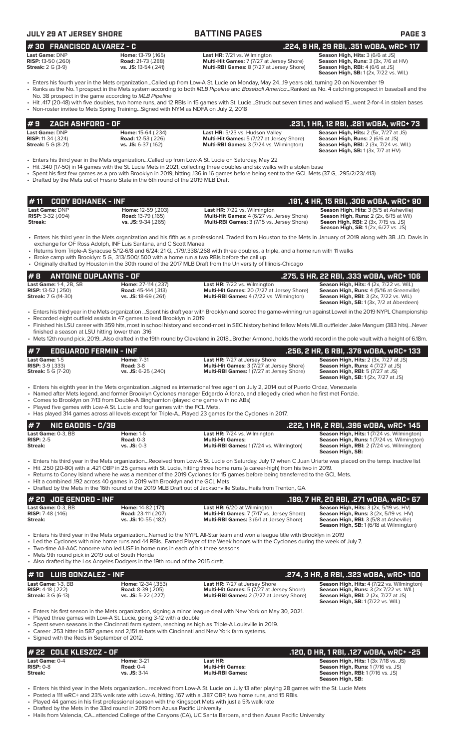| <b>JULY 29 AT JERSEY SHORE</b>                                           |                                                                                                                                              | <b>BATTING PAGES</b>                                                                                                                                                                                                                                                                                                                                                                                                                                               | <b>PAGE 3</b>                                                                                                                                                           |  |  |  |  |
|--------------------------------------------------------------------------|----------------------------------------------------------------------------------------------------------------------------------------------|--------------------------------------------------------------------------------------------------------------------------------------------------------------------------------------------------------------------------------------------------------------------------------------------------------------------------------------------------------------------------------------------------------------------------------------------------------------------|-------------------------------------------------------------------------------------------------------------------------------------------------------------------------|--|--|--|--|
| #30 FRANCISCO ALVAREZ - C                                                |                                                                                                                                              | .224, 9 HR, 29 RBI, .351 wOBA, wRC+ 117                                                                                                                                                                                                                                                                                                                                                                                                                            |                                                                                                                                                                         |  |  |  |  |
| Last Game: DNP<br><b>RISP:</b> 13-50 (.260)<br><b>Streak: 2 G (3-9)</b>  | Home: 13-79 (.165)<br><b>Road: 21-73 (.288)</b><br>vs. JS: 13-54 (.241)                                                                      | <b>Last HR:</b> 7/21 vs. Wilmington<br>Multi-Hit Games: 7 (7/27 at Jersey Shore)<br><b>Multi-RBI Games:</b> 8 (7/27 at Jersey Shore)                                                                                                                                                                                                                                                                                                                               | Season High, Hits: 3 (6/6 at JS)<br>Season High, Runs: 3 (3x, 7/6 at HV)<br><b>Season High, RBI: 4 (6/6 at JS)</b><br><b>Season High, SB:</b> 1 (2x, 7/22 vs. WIL)      |  |  |  |  |
|                                                                          | No. 38 prospect in the game according to MLB Pipeline<br>• Non-roster invitee to Mets Spring TrainingSigned with NYM as NDFA on July 2, 2018 | Fiters his fourth year in the Mets organizationCalled up from Low-A St. Lucie on Monday, May 2419 years old, turning 20 on November 19<br>• Ranks as the No. 1 prospect in the Mets system according to both MLB Pipeline and Baseball AmericaRanked as No. 4 catching prospect in baseball and the<br>• Hit .417 (20-48) with five doubles, two home runs, and 12 RBIs in 15 games with St. LucieStruck out seven times and walked 15went 2-for-4 in stolen bases |                                                                                                                                                                         |  |  |  |  |
| #9<br>ZACH ASHFORD - OF                                                  |                                                                                                                                              |                                                                                                                                                                                                                                                                                                                                                                                                                                                                    | .231, 1 HR, 12 RBI, .281 wOBA, wRC+ 73                                                                                                                                  |  |  |  |  |
| Last Game: DNP<br><b>RISP:</b> 11-34 (.324)<br><b>Streak:</b> 5 G (8-21) | Home: 15-64 (.234)<br><b>Road: 12-53 (.226)</b><br>vs. JS: 6-37 (.162)                                                                       | Last HR: 5/23 vs. Hudson Valley<br><b>Multi-Hit Games:</b> 5 (7/27 at Jersey Shore)<br>Multi-RBI Games: 3 (7/24 vs. Wilmington)                                                                                                                                                                                                                                                                                                                                    | <b>Season High, Hits: 2 (5x, 7/27 at JS)</b><br>Season High, Runs: 2 (6/6 at JS)<br><b>Season High, RBI: 2 (3x, 7/24 vs. WIL)</b><br>Season High, SB: 1 (3x, 7/7 at HV) |  |  |  |  |
|                                                                          | • Drafted by the Mets out of Fresno State in the 6th round of the 2019 MLB Draft                                                             | Enters his third year in the Mets organizationCalled up from Low-A St. Lucie on Saturday, May 22<br>• Hit .340 (17-50) in 14 games with the St. Lucie Mets in 2021, collecting three doubles and six walks with a stolen base<br>• Spent his first few games as a pro with Brooklyn in 2019, hitting 136 in 16 games before being sent to the GCL Mets (37 G, .295/2/23/.413)                                                                                      |                                                                                                                                                                         |  |  |  |  |

| # 11 $\,$ CODY BOHANEK - INF $\,$ |                            |                                                   | .191. 4 HR. 15 RBI. .308 WOBA. WRC+ 90                                                    |
|-----------------------------------|----------------------------|---------------------------------------------------|-------------------------------------------------------------------------------------------|
| <b>Last Game: DNP</b>             | <b>Home: 12-59 (.203)</b>  | <b>Last HR:</b> 7/22 vs. Wilmington               | <b>Season High, Hits: 3 (5/5 at Asheville)</b>                                            |
| <b>RISP:</b> $3-32$ (.094)        | <b>Road: 13-79 (.165)</b>  | <b>Multi-Hit Games: 4 (6/27 vs. Jersey Shore)</b> | <b>Season High, Runs:</b> 2 (2x, 6/15 at Wil)                                             |
| Streak:                           | <b>vs. JS:</b> 9-34 (.265) | <b>Multi-RBI Games: 3 (7/15 vs. Jersey Shore)</b> | <b>Seaon High, RBI:</b> 2 (3x, 7/15 vs. JS)<br><b>Season High, SB:</b> 1(2x, 6/27 vs. JS) |

• Enters his third year in the Mets organization and his fifth as a professional...Traded from Houston to the Mets in January of 2019 along with 3B J.D. Davis in exchange for OF Ross Adolph, INF Luis Santana, and C Scott Manea

• Returns from Triple-A Syracuse 5/12-6/8 and 6/24: 21 G, ..179/.338/.268 with three doubles, a triple, and a home run with 11 walks

• Broke camp with Brooklyn: 5 G, .313/.500/.500 with a home run a two RBIs before the call up

• Originally drafted by Houston in the 30th round of the 2017 MLB Draft from the University of Illinois-Chicago

| # 8                           | ANTOINE DUPLANTIS - OF |                             |                                                   | .275, 5 HR, 22 RBI, .333 wOBA, wRC+ 106               |
|-------------------------------|------------------------|-----------------------------|---------------------------------------------------|-------------------------------------------------------|
| <b>Last Game: 1-4, 2B, SB</b> |                        | <b>Home: 27-114 (.237)</b>  | <b>Last HR:</b> 7/22 vs. Wilmington               | <b>Season High, Hits: 4 (2x, 7/22 vs. WIL)</b>        |
| <b>RISP:</b> 13-52 (.250)     |                        | <b>Road:</b> 45-144 (.313)  | <b>Multi-Hit Games: 20 (7/27 at Jersey Shore)</b> | <b>Season High, Runs: 4 (5/16 at Greenville)</b>      |
| <b>Streak:</b> 7 G (14-30)    |                        | <b>vs. JS:</b> 18-69 (.261) | <b>Multi-RBI Games:</b> 4 (7/22 vs. Wilmington)   | <b>Season High, RBI:</b> $3$ ( $2x$ , $7/22$ vs. WIL) |
|                               |                        |                             |                                                   | <b>Season High, SB:</b> 1 (3x, 7/2 at Aberdeen)       |

• Enters his third year in the Mets organization ...Spent his draft year with Brooklyn and scored the game-winning run against Lowell in the 2019 NYPL Championship • Recorded eight outfield assists in 47 games to lead Brooklyn in 2019 • Finished his LSU career with 359 hits, most in school history and second-most in SEC history behind fellow Mets MiLB outfielder Jake Mangum (383 hits)...Never

finished a season at LSU hitting lower than .316 • Mets 12th round pick, 2019...Also drafted in the 19th round by Cleveland in 2018...Brother Armond, holds the world record in the pole vault with a height of 6.18m.

| $#7$ EDGUARDO FERMIN - INF |                       |                                                  | .256, 2 HR, 6 RBI, .376 wOBA, wRC+ 133       |
|----------------------------|-----------------------|--------------------------------------------------|----------------------------------------------|
| <b>Last Game:</b> 1-5      | <b>Home: 7-31</b>     | <b>Last HR:</b> 7/27 at Jersey Shore             | <b>Season High, Hits: 2 (3x, 7/27 at JS)</b> |
| <b>RISP:</b> 3-9 (.333)    | <b>Road: 3-8</b>      | <b>Multi-Hit Games: 3 (7/27 at Jersey Shore)</b> | <b>Season High, Runs: 4 (7/27 at JS)</b>     |
| <b>Streak:</b> 5 G (7-20)  | $vs.$ JS: 6-25 (.240) | <b>Multi-RBI Games: 1(7/27 at Jersey Shore)</b>  | <b>Season High, RBI:</b> 5 (7/27 at JS)      |
|                            |                       |                                                  | <b>Season High, SB:</b> 1 (2x, 7/27 at JS)   |

• Enters his eighth year in the Mets organization...signed as international free agent on July 2, 2014 out of Puerto Ordaz, Venezuela

• Named after Mets legend, and former Brooklyn Cyclones manager Edgardo Alfonzo, and allegedly cried when he first met Fonzie.

• Comes to Brooklyn on 7/13 from Double-A Binghamton (played one game with no ABs)

• Played five games with Low-A St. Lucie and four games with the FCL Mets.

• Has played 314 games across all levels except for Triple-A...Played 23 games for the Cyclones in 2017.

| $# 7$ NIC GADDIS - C/3B           |                                 |                                                                                                                                                                   | .222. 1 HR. 2 RBI. .396 wOBA. wRC+ 145                                                                |
|-----------------------------------|---------------------------------|-------------------------------------------------------------------------------------------------------------------------------------------------------------------|-------------------------------------------------------------------------------------------------------|
| Last Game: 0-3. BB<br>$RISP: 2-5$ | <b>Home: 1-6</b><br>Road: $0-3$ | <b>Last HR:</b> 7/24 vs. Wilmington<br><b>Multi-Hit Games:</b>                                                                                                    | <b>Season High, Hits: 1(7/24 vs. Wilmington)</b><br><b>Season High, Runs: 1 (7/24 vs. Wilmington)</b> |
| Streak:                           | $vs.$ JS: 0-3                   | <b>Multi-RBI Games:</b> 1(7/24 vs. Wilmington)                                                                                                                    | Season High, RBI: 2 (7/24 vs. Wilmington)<br>Season High, SB:                                         |
|                                   |                                 | Fatago bio thigh conciled to a Mate aggregation. Denoised formal and Ct. Lucia agg Catmolers Interface Catmon Chiama material and the second in a stire link. Int |                                                                                                       |

• Enters his third year in the Mets organization...Received from Low-A St. Lucie on Saturday, July 17 when C Juan Uriarte was placed on the temp. inactive list • Hit .250 (20-80) with a .421 OBP in 25 games with St. Lucie, hitting three home runs (a career-high) from his two in 2019.

• Returns to Coney Island where he was a member of the 2019 Cyclones for 15 games before being transferred to the GCL Mets.

• Hit a combined .192 across 40 games in 2019 with Brooklyn and the GCL Mets

• Drafted by the Mets in the 16th round of the 2019 MLB Draft out of Jacksonville State...Hails from Trenton, GA.

|                            |                            | . Didited by the Mets in the Toth Found of the 2019 MED Didit out of JackSonville StateFlails home henton, GA |                                                |
|----------------------------|----------------------------|---------------------------------------------------------------------------------------------------------------|------------------------------------------------|
| $#$ 20 JDE GENORD - INF    |                            |                                                                                                               | .199. 7 HR. 20 RBI. .271 wOBA. wRC+ 67         |
| Last Game: 0-3. BB         | Home: 14-82 (.171)         | <b>Last HR:</b> 6/20 at Wilmington                                                                            | <b>Season High, Hits: 3 (2x, 5/19 vs. HV)</b>  |
| <b>RISP:</b> $7-48$ (.146) | <b>Road: 23-111 (.207)</b> | <b>Multi-Hit Games: 7 (7/17 vs. Jersey Shore)</b>                                                             | <b>Season High, Runs: 3 (2x, 5/19 vs. HV)</b>  |
| Streak:                    | vs. JS: 10-55 (.182)       | <b>Multi-RBI Games:</b> 3 (6/1 at Jersey Shore)                                                               | <b>Season High, RBI: 3 (5/8 at Asheville)</b>  |
|                            |                            |                                                                                                               | <b>Season High, SB: 1 (6/18 at Wilmington)</b> |

• Enters his third year in the Mets organization...Named to the NYPL All-Star team and won a league title with Brooklyn in 2019

• Led the Cyclones with nine home runs and 44 RBIs...Earned Player of the Week honors with the Cyclones during the week of July 7.

Two-time All-AAC honoree who led USF in home runs in each of his three seasons

Mets 9th round pick in 2019 out of South Florida

Also drafted by the Los Angeles Dodgers in the 19th round of the 2015 draft.

| # 10 LUIS GONZALEZ - INF   |                           |                                                  | .274. 3 HR. 8 RBI. .323 WOBA. wRC+ 100            |
|----------------------------|---------------------------|--------------------------------------------------|---------------------------------------------------|
| Last Game: 1-3, BB         | <b>Home:</b> 12-34 (.353) | <b>Last HR:</b> 7/27 at Jersey Shore             | <b>Season High, Hits: 4 (7/22 vs. Wilmington)</b> |
| <b>RISP:</b> 4-18 $(.222)$ | <b>Road: 8-39 (.205)</b>  | <b>Multi-Hit Games:</b> 5 (7/27 at Jersey Shore) | <b>Season High, Runs:</b> 3 (2x 7/22 vs. WIL)     |
| <b>Streak:</b> 3 G (6-13)  | $vs.$ JS: 5-22 (.227)     | <b>Multi-RBI Games:</b> 2 (7/27 at Jersey Shore) | <b>Season High, RBI:</b> 2 (2x, 7/27 at JS)       |
|                            |                           |                                                  | <b>Season High, SB:</b> 1(7/22 vs. WIL)           |

• Enters his first season in the Mets organization, signing a minor league deal with New York on May 30, 2021.

• Played three games with Low-A St. Lucie, going 3-12 with a double

• Spent seven seasons in the Cincinnati farm system, reaching as high as Triple-A Louisville in 2019.

• Career .253 hitter in 587 games and 2,151 at-bats with Cincinnati and New York farm systems. Signed with the Reds in September of 2012.

| 1# 22   COLE KLESZCZ - OF |                   |                         | .120. 0 HR. 1 RBI. .127 w0BA. wRC+ -25       |
|---------------------------|-------------------|-------------------------|----------------------------------------------|
| Last Game: 0-4            | <b>Home:</b> 3-21 | Last HR:                | <b>Season High, Hits: 1 (3x 7/18 vs. JS)</b> |
| $RISP: 0-8$               | Road: $0-4$       | <b>Multi-Hit Games:</b> | <b>Season High, Runs: 1(7/16 vs. JS)</b>     |
| Streak:                   | $vs.$ JS: 3-14    | <b>Multi-RBI Games:</b> | <b>Season High, RBI:</b> 1 (7/16 vs. JS)     |
|                           |                   |                         | Season High, SB:                             |

• Enters his third year in the Mets organization...received from Low-A St. Lucie on July 13 after playing 28 games with the St. Lucie Mets

• Posted a 111 wRC+ and 23% walk rate with Low-A, hitting .167 with a .387 OBP, two home runs, and 15 RBIs.

• Played 44 games in his first professional season with the Kingsport Mets with just a 5% walk rate

• Drafted by the Mets in the 33rd round in 2019 from Azusa Pacific University

• Hails from Valencia, CA...attended College of the Canyons (CA), UC Santa Barbara, and then Azusa Pacific University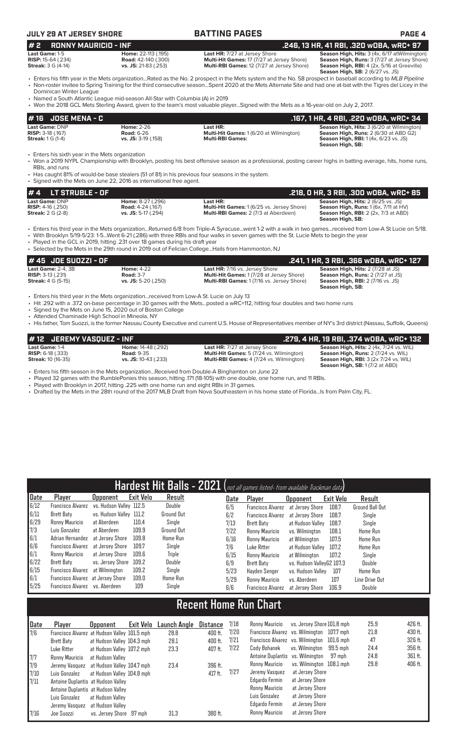## **JULY 29 AT JERSEY SHORE BATTING PAGES PAGE 4**

### **# 16 JOSE MENA - C .167, 1 HR, 4 RBI, .220 wOBA, wRC+ 34 Last Game:** DNP **Home:** 2-26 **Last HR: Season High, Hits:** 3 (6/20 at Wilmington) **RISP:** 3-18 (.167) **Road:** 6-26 **Multi-Hit Games:** 1 (6/20 at Wilmington) **Season High, Runs:** 2 (6/30 at ABD G2) **Streak:** 1 G (1-4) **vs. JS:** 3-19 (.158) **Multi-RBI Games: Season High, RBI:** 1 (4x, 6/23 vs. JS) **Season High, SB:**  Enters his sixth year in the Mets organization • Won a 2019 NYPL Championship with Brooklyn, posting his best offensive season as a professional, posting career highs in batting average, hits, home runs, RBIs, and runs • Has caught 81% of would-be base stealers (51 of 81) in his previous four seasons in the system. **# 2 RONNY MAURICIO - INF .246, 13 HR, 41 RBI, .320 wOBA, wRC+ 97 Last Game:** 1-5 **Home:** 22-113 (.195) **Last HR:** 7/27 at Jersey Shore **Season High, Hits:** 3 (4x, 6/17 atWilmington) **RISP:** 15-64 (.234) **Road:** 42-140 (.300) **Multi-Hit Games:** 17 (7/27 at Jersey Shore) **Season High, Runs:** 3 (7/27 at Jersey Shore) **Streak:** 3 G (4-14) **vs. JS:** 21-83 (.253) **Multi-RBI Games:** 12 (7/27 at Jersey Shore) Season High, RBI: 4 (2x, 5/16 at Greeville)<br>Season High, SB: 2 (6/27 vs. JS) • Enters his fifth year in the Mets organization...Rated as the No. 2 prospect in the Mets system and the No. 58 prospect in baseball according to *MLB Pipeline* • Non-roster invitee to Spring Training for the third consecutive season...Spent 2020 at the Mets Alternate Site and had one at-bat with the Tigres del Licey in the Dominican Winter League • Named a South Atlantic League mid-season All-Star with Columbia (A) in 2019 • Won the 2018 GCL Mets Sterling Award, given to the team's most valuable player...Signed with the Mets as a 16-year-old on July 2, 2017.

• Signed with the Mets on June 22, 2016 as international free agent.

| $# 4$ LT STRUBLE - OF      |                          |                                                   | .218. O HR. 3 RBI. .300 WOBA. WRC+ 85               |
|----------------------------|--------------------------|---------------------------------------------------|-----------------------------------------------------|
| Last Game: DNP             | <b>Home:</b> 8-27 (.296) | Last HR:                                          | <b>Season High, Hits: 2 (6/25 vs. JS)</b>           |
| <b>RISP:</b> $4-16$ (.250) | <b>Road:</b> 4-24 (.167) | <b>Multi-Hit Games: 1 (6/25 vs. Jersey Shore)</b> | <b>Season High, Runs:</b> $1(6x, 7/11$ at $HV$ )    |
| <b>Streak: 2 G (2-8)</b>   | $vs.$ JS: 5-17 (.294)    | <b>Multi-RBI Games: 2 (7/3 at Aberdeen)</b>       | <b>Season High, RBI:</b> $2$ ( $2x$ , $7/3$ at ABD) |
|                            |                          |                                                   | Season High, SB:                                    |

• Enters his third year in the Mets organization...Returned 6/8 from Triple-A Syracuse...went 1-2 with a walk in two games...received from Low-A St Lucie on 5/18.

Selected by the Mets in the 29th round in 2019 out of Felician College... Hails from Hammonton, NJ

| # 45 JOE SUOZZI - OF           |                     |                                                  | .241, 1 HR, 3 RBI, .366 wOBA, wRC+ 127   |
|--------------------------------|---------------------|--------------------------------------------------|------------------------------------------|
| <b>Last Game: 2-4, 3B</b>      | <b>Home: 4-22</b>   | <b>Last HR: 7/16 vs. Jersey Shore</b>            | <b>Season High, Hits: 2 (7/28 at JS)</b> |
| <b>RISP:</b> $3-13$ ( $.231$ ) | <b>Road: 3-7</b>    | <b>Multi-Hit Games: 1(7/28 at Jersey Shore)</b>  | <b>Season High, Runs: 2 (7/27 at JS)</b> |
| <b>Streak:</b> 4 G (5-15)      | vs. JS: 5-20 (.250) | <b>Multi-RBI Games: 1(7/16 vs. Jersey Shore)</b> | <b>Season High, RBI:</b> 2 (7/16 vs. JS) |
|                                |                     |                                                  | Season High, SB:                         |

• Enters his third year in the Mets organization...received from Low-A St. Lucie on July 13

• Hit .292 with a .372 on-base percentage in 30 games with the Mets...posted a wRC+112, hitting four doubles and two home runs

• Signed by the Mets on June 15, 2020 out of Boston College

• Attended Chaminade High School in Mineola, NY

7/7 Ronny Mauricio at Hudson Valley

7/11 Antoine Duplantis at Hudson Valley Antoine Duplantis at Hudson Valley Luis Gonzalez at Hudson Valley Jeremy Vasquez at Hudson Valley

7/9 Jeremy Vasquez at Hudson Valley 104.7 mph 23.4 396 ft. 7/10 Luis Gonzalez at Hudson Valley 104.8 mph

7/16 Joe Suozzi vs. Jersey Shore 97 mph 31.3 380 ft.

• His father, Tom Suozzi, is the former Nassau County Executive and current U.S. House of Representatives member of NY's 3rd district (Nassau, Suffolk, Queens)

| #12 JEREMY VASQUEZ - INF   |                           |                                                 | .279. 4 HR. 19 RBI. .374 wOBA. wRC+ 132                                                        |
|----------------------------|---------------------------|-------------------------------------------------|------------------------------------------------------------------------------------------------|
| Last Game: 1-4             | <b>Home: 14-48 (.292)</b> | <b>Last HR:</b> 7/27 at Jersey Shore            | Season High, Hits: 2 (4x, 7/24 vs. WIL)                                                        |
| <b>RISP:</b> $6-18$ (.333) | <b>Road: 9-35</b>         | <b>Multi-Hit Games:</b> 5 (7/24 vs. Wilmington) | Season High, Runs: 2 (7/24 vs. WIL)                                                            |
| <b>Streak: 10 (16-35)</b>  | vs. JS: 10-43 (.233)      | <b>Multi-RBI Games: 4 (7/24 vs. Wilmington)</b> | <b>Season High, RBI:</b> $3$ ( $2x$ 7/ $24$ vs. WIL)<br><b>Season High, SB: 1 (7/2 at ABD)</b> |

• Enters his fifth season in the Mets organization...Received from Double-A Binghamton on June 22

• Played 32 games with the RumblePonies this season, hitting .171 (18-105) with one double, one home run, and 11 RBIs.

• Played with Brooklyn in 2017, hitting .225 with one home run and eight RBIs in 31 games.

• Drafted by the Mets in the 28th round of the 2017 MLB Draft from Nova Southeastern in his home state of Florida...Is from Palm City, FL.

|             |                                   |                                              |                  |                   |                 |      | Hardest Hit Balls - 2021 (not all games listed- from available Trackman data) |                                  |             |                        |  |
|-------------|-----------------------------------|----------------------------------------------|------------------|-------------------|-----------------|------|-------------------------------------------------------------------------------|----------------------------------|-------------|------------------------|--|
| <b>Date</b> | Player                            | Upponent                                     | <b>Exit Velo</b> | Result            |                 | Date | Player                                                                        | Opponent                         | Exit Velo   | Result                 |  |
| 6/12        | <b>Francisco Alvarez</b>          | vs. Hudson Valley 112.5                      |                  | Double            |                 | 6/5  | <b>Francisco Alvarez</b>                                                      | at Jersey Shore                  | 108.7       | <b>Ground Ball Out</b> |  |
| 6/11        | <b>Brett Baty</b>                 | vs. Hudson Valley 111.2                      |                  | <b>Ground Out</b> |                 | 6/2  | <b>Francisco Alvarez</b>                                                      | at Jersey Shore                  | 108.7       | Single                 |  |
| 6/29        | Ronny Mauricio                    | at Aberdeen                                  | 110.4            | Single            |                 | 7/13 | Brett Baty                                                                    | at Hudson Valley                 | 108.7       | Single                 |  |
| 7/3         | Luis Gonzalez                     | at Aberdeen                                  | 109.9            | <b>Ground Out</b> |                 | 7/22 | Ronny Mauricio                                                                | vs. Wilmington                   | 108.1       | Home Run               |  |
| 6/1         | Adrian Hernandez                  | at Jersey Shore                              | 109.8            | Home Run          |                 | 6/16 | Ronny Mauricio                                                                | at Wilmington                    | 107.5       | Home Run               |  |
| 6/6         | Francisco Alvarez                 | at Jersev Shore                              | 109.7            | Single            |                 | 7/6  | Luke Ritter                                                                   | at Hudson Vallev                 | 107.2       | Home Run               |  |
| 6/1         | Ronny Mauricio                    | at Jersey Shore                              | 109.6            | Triple            |                 | 6/15 | Ronny Mauricio                                                                | at Wilmington                    | 107.2       | Single                 |  |
| 6/22        | <b>Brett Baty</b>                 | vs. Jersey Shore                             | 109.2            | Double            |                 | 6/9  | Brett Baty                                                                    | vs. Hudson ValleyG2 107.3        |             | Double                 |  |
| 6/15        | Francisco Alvarez                 | at Wilmington                                | 109.2            | Single            |                 | 5/23 | Hayden Senger                                                                 | vs. Hudson Valley                | 107         | Home Run               |  |
| 6/1         | Francisco Alvarez at Jersey Shore |                                              | 109.0            | Home Run          |                 | 5/29 | Ronny Mauricio                                                                | vs. Aberdeen                     | 107         | Line Drive Out         |  |
| 5/25        | Francisco Alvarez vs. Aberdeen    |                                              | 109              | Single            |                 | 6/6  | <b>Francisco Alvarez</b>                                                      | at Jersey Shore                  | 106.9       | Double                 |  |
|             |                                   |                                              |                  |                   |                 |      | <b>Recent Home Run Chart</b>                                                  |                                  |             |                        |  |
|             |                                   |                                              |                  |                   |                 |      |                                                                               |                                  |             |                        |  |
| Date        | Player                            | <b>Opponent</b>                              | <b>Exit Velo</b> | Launch Angle      | <b>Distance</b> | 7/18 | Ronny Mauricio                                                                | vs. Jersey Shore 101.8 mph       |             | 25.9                   |  |
| 7/6         |                                   | Francisco Alvarez at Hudson Valley 101.5 mph |                  | 28.8              | 400 ft.         | 7/20 |                                                                               | Francisco Alvarez vs. Wilmington | 107.7 mph   | 21.8                   |  |
|             | <b>Brett Baty</b>                 | at Hudson Valley 104.3 mph                   |                  | 28.1              | 400 ft.         | 7/21 |                                                                               | Francisco Alvarez vs. Wilmington | $101.6$ mph | 47                     |  |
|             | Luke Ritter                       | at Hudson Valley 107.2 mph                   |                  | 23.3              | 407 ft.         | 7/22 | Cody Bohanek                                                                  | vs. Wilmington                   | $99.5$ mph  | 24.4                   |  |

• With Brooklyn 5/19-5/23: 1-5...Went 6-21 (.286) with three RBIs and four walks in seven games with the St. Lucie Mets to begin the year

Played in the GCL in 2019, hitting .231 over 18 games during his draft year

Antoine Duplantis vs. Wilmington 97 mph 24.8 361 ft. Ronny Mauricio vs. Wilmington 108.1 mph 29.8 406 ft.

7/27 Jeremy Vasquez at Jersey Shore Edgardo Fermin at Jersey Shore Ronny Mauricio at Jersey Shore Luis Gonzalez at Jersey Shore Edgardo Fermin at Jersey Shore Ronny Mauricio at Jersey Shore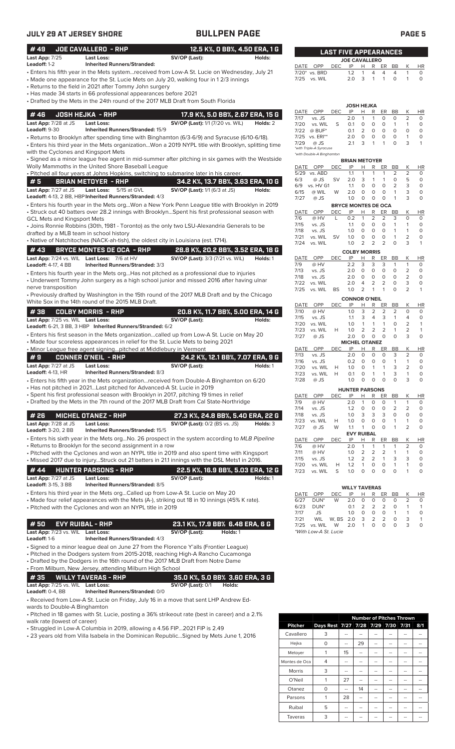| JULY 29 AT JERSEY SHORE                                                                                                                                                                                                                                                                                                                                                                                  | <b>BULLPEN PAGE</b>                                                                                                                                                                                      | <b>PAGE 5</b>                                                                                                                                                                                                                                                                                                                                                                                                                                                      |
|----------------------------------------------------------------------------------------------------------------------------------------------------------------------------------------------------------------------------------------------------------------------------------------------------------------------------------------------------------------------------------------------------------|----------------------------------------------------------------------------------------------------------------------------------------------------------------------------------------------------------|--------------------------------------------------------------------------------------------------------------------------------------------------------------------------------------------------------------------------------------------------------------------------------------------------------------------------------------------------------------------------------------------------------------------------------------------------------------------|
| #49<br><b>JOE CAVALLERO - RHP</b>                                                                                                                                                                                                                                                                                                                                                                        | 12.5 K%, O BB%, 4.50 ERA, 1 G                                                                                                                                                                            | <b>LAST FIVE APPEARANCES</b>                                                                                                                                                                                                                                                                                                                                                                                                                                       |
| Last App: 7/25<br>Last Loss:<br>Leadoff: 1-2<br><b>Inherited Runners/Stranded:</b>                                                                                                                                                                                                                                                                                                                       | SV/OP (Last):<br>Holds:                                                                                                                                                                                  | <b>JOE CAVALLERO</b><br>IP<br>Κ                                                                                                                                                                                                                                                                                                                                                                                                                                    |
| · Enters his fifth year in the Mets systemreceived from Low-A St. Lucie on Wednesday, July 21<br>• Made one appearance for the St. Lucie Mets on July 20, walking four in 12/3 innings<br>• Returns to the field in 2021 after Tommy John surgery<br>• Has made 34 starts in 66 professional appearances before 2021<br>• Drafted by the Mets in the 24th round of the 2017 MLB Draft from South Florida |                                                                                                                                                                                                          | DATE OPP<br><b>DEC</b><br>H<br>R ER<br>BB<br>HR<br>1.2<br>4<br>$\overline{4}$<br>$\circ$<br>7/20* vs. BRD<br>1<br>4<br>1<br>2.0<br>3<br>$\circ$<br>$\circ$<br>7/25<br>vs. WIL<br>1<br>1<br>$\mathbf{1}$                                                                                                                                                                                                                                                            |
|                                                                                                                                                                                                                                                                                                                                                                                                          |                                                                                                                                                                                                          | JOSH HEJKA<br><b>DEC</b><br>OPP<br>IP<br>н<br>R<br>ER<br>BB<br>К<br>HR<br>DATE                                                                                                                                                                                                                                                                                                                                                                                     |
| #46<br><b>JOSH HEJKA - RHP</b><br>Last App: 7/28 at JS<br><b>Last Loss:</b><br><b>Leadoff: 9-30</b><br>Inherited Runners/Stranded: 15/9<br>• Returns to Brooklyn after spending time with Binghamton (6/3-6/9) and Syracuse (6/10-6/18).                                                                                                                                                                 | 17.9 K%, 5.0 BB%, 2.67 ERA, 15 G<br><b>SV/OP (Last):</b> 1/1 (7/20 vs. WIL)<br>Holds: 2                                                                                                                  | vs. JS<br>2.0<br>$\mathbf{1}$<br>0<br>2<br>7/17<br>1<br>0<br>0<br>vs. WIL<br>S<br>0.1<br>$\circ$<br>0<br>$\circ$<br>$\mathbf{1}$<br>$\circ$<br>7/20<br>$\mathbf{1}$<br>$\overline{2}$<br>$\circ$<br>$\mathsf O$<br>$@$ BUF*<br>$\circ$<br>$\circ$<br>0<br>7/22<br>0.1<br>$\circ$<br>$\mathsf O$<br>2.0<br>0<br>$\circ$<br>$\mathbf{1}$<br>$\circ$<br>7/25<br>vs. ERI**<br>3<br>$\circ$<br>2.1<br>$\mathbf{1}$<br>$\mathbf{1}$<br>3<br>$\mathbf{1}$<br>7/29<br>@ JS |
| with the Cyclones and Kingsport Mets                                                                                                                                                                                                                                                                                                                                                                     | · Enters his third year in the Mets organizationWon a 2019 NYPL title with Brooklyn, splitting time<br>· Signed as a minor league free agent in mid-summer after pitching in six games with the Westside | *with Triple-A Syracuse<br>*with Double-A Binghamton<br><b>BRIAN METOYER</b>                                                                                                                                                                                                                                                                                                                                                                                       |
| Wolly Mammoths in the United Shore Baseball League                                                                                                                                                                                                                                                                                                                                                       |                                                                                                                                                                                                          | К<br>DATE OPP<br><b>DEC</b><br>IP<br>R<br>ER<br>BB<br>HR<br>н                                                                                                                                                                                                                                                                                                                                                                                                      |
| · Pitched all four years at Johns Hopkins, switching to submarine later in his career.<br>#5<br><b>BRIAN METOYER - RHP</b>                                                                                                                                                                                                                                                                               |                                                                                                                                                                                                          | 2<br>$\overline{2}$<br>$\circ$<br>5/29 vs. ABD<br>1.1<br>1<br>$\mathbf{1}$<br>1<br>$\mathbf{1}$<br>$\circ$<br>5<br>$\circ$<br>6/3<br>$@$ JS<br><b>SV</b><br>2.0<br>3<br>1                                                                                                                                                                                                                                                                                          |
| Last App: 7/27 at JS<br>Last Loss: 5/15 at GVL<br>Leadoff: 4-13, 2 BB, HBP Inherited Runners/Stranded: 4/3                                                                                                                                                                                                                                                                                               | 34.2 K%, 13.7 BB%, 3.63 ERA, 10 G<br><b>SV/OP (Last):</b> 1/1 (6/3 at JS)<br>Holds:                                                                                                                      | $\overline{2}$<br>3<br>$\circ$<br>vs. HV G1<br>1.1<br>0<br>0<br>$\circ$<br>6/9<br>3<br>$\circ$<br>$\circ$<br>0<br>$\circ$<br>$\mathbf{1}$<br>6/15<br>@ WIL<br>W<br>2.0<br>1.0<br>$\circ$<br>$\circ$<br>$\circ$<br>$\mathbf{1}$<br>3<br>$\circ$<br>7/27<br>$@$ JS                                                                                                                                                                                                   |
| · Enters his fourth year in the Mets orgWon a New York Penn League title with Brooklyn in 2019<br>• Struck out 40 batters over 28.2 innings with BrooklynSpent his first professional season with                                                                                                                                                                                                        |                                                                                                                                                                                                          | <b>BRYCE MONTES DE OCA</b><br>OPP<br>К<br>DATE<br><b>DEC</b><br>IP<br>н<br>R<br>ER<br>BB<br>HR                                                                                                                                                                                                                                                                                                                                                                     |
| GCL Mets and Kingsport Mets<br>• Joins Ronnie Robbins (30th, 1981 - Toronto) as the only two LSU-Alexandria Generals to be<br>drafted by a MLB team in school history                                                                                                                                                                                                                                    |                                                                                                                                                                                                          | 7/6<br>@ HV<br>0.2<br>$\overline{2}$<br>$\overline{2}$<br>3<br>0<br>$\circ$<br>L<br>1<br>$\circ$<br>$\mathbf 0$<br>$\circ$<br>$\circ$<br>$\mathbf{1}$<br>7/15<br>vs. JS<br>1.1<br>1<br>$\circ$<br>$\circ$<br>1.0<br>$\circ$<br>$\circ$<br>$\mathbf{1}$<br>$\mathbf{1}$<br>7/18<br>vs. JS                                                                                                                                                                           |
| • Native of Natchitoches (NACK-ah-tish), the oldest city in Louisiana (est. 1714).                                                                                                                                                                                                                                                                                                                       |                                                                                                                                                                                                          | $\mathbf 0$<br>0<br>$\circ$<br>$\mathbf{1}$<br>2<br>$\circ$<br>7/21<br>vs. WIL<br><b>SV</b><br>1.0<br>$\overline{2}$<br>2<br>$\overline{2}$<br>$\circ$<br>3<br>1.0<br>$\mathbf{1}$<br>7/24<br>vs. WIL                                                                                                                                                                                                                                                              |
| #43<br><b>BRYCE MONTES DE OCA - RHP</b>                                                                                                                                                                                                                                                                                                                                                                  | 28.8 K%, 20.2 BB%, 3.52 ERA, 18 G                                                                                                                                                                        | <b>COLBY MORRIS</b>                                                                                                                                                                                                                                                                                                                                                                                                                                                |
| Last App: 7/24 vs. WIL Last Loss: 7/6 at HV<br>Leadoff: 4-17, 4 BB<br>Inherited Runners/Stranded: 3/3                                                                                                                                                                                                                                                                                                    | <b>SV/OP (Last):</b> 3/3 (7/21 vs. WIL)<br>Holds: 1                                                                                                                                                      | OPP<br><b>DEC</b><br>IP<br>R<br>ER<br><b>BB</b><br>K<br><b>HR</b><br>DATE<br>н<br>2.2<br>3<br>3<br>3<br>$\mathbf{1}$<br>$\circ$<br>7/9<br>@ HV<br>$\mathbf{1}$                                                                                                                                                                                                                                                                                                     |
| · Enters his fourth year in the Mets orgHas not pitched as a professional due to injuries<br>• Underwent Tommy John surgery as a high school junior and missed 2016 after having ulnar                                                                                                                                                                                                                   |                                                                                                                                                                                                          | 7/13<br>2.0<br>$\circ$<br>0<br>$\circ$<br>$\circ$<br>2<br>$\circ$<br>vs. JS<br>$\overline{2}$<br>$\mathsf O$<br>$\circ$<br>0<br>$\circ$<br>$\circ$<br>7/18<br>vs. JS<br>2.0<br>3<br>2<br>2<br>$\circ$<br>$\circ$<br>vs. WIL<br>2.0<br>4<br>7/22                                                                                                                                                                                                                    |
| nerve transposition<br>• Previously drafted by Washington in the 15th round of the 2017 MLB Draft and by the Chicago<br>White Sox in the 14th round of the 2015 MLB Draft.                                                                                                                                                                                                                               |                                                                                                                                                                                                          | 1.0<br>2<br>$\mathbf{1}$<br>$\mathbf{1}$<br>$\Omega$<br>2<br>$\mathbf{1}$<br>7/25<br>vs. WIL<br><b>BS</b><br><b>CONNOR O'NEIL</b>                                                                                                                                                                                                                                                                                                                                  |
|                                                                                                                                                                                                                                                                                                                                                                                                          |                                                                                                                                                                                                          | OPP<br>R<br>К<br><b>HR</b><br>DATE<br><b>DEC</b><br>IP<br>н<br>ER<br>BB<br>$\overline{2}$<br>$\overline{2}$<br>3<br>2<br>$\circ$<br>$\circ$<br>7/10<br>@ HV<br>1.0                                                                                                                                                                                                                                                                                                 |
| <b>COLBY MORRIS - RHP</b><br>#38<br>Last App: 7/25 vs. WIL Last Loss:                                                                                                                                                                                                                                                                                                                                    | 20.8 K%, 11.7 BB%, 5.00 ERA, 14 G<br>SV/OP (Last):<br>Holds:                                                                                                                                             | 7/15<br>3<br>$\overline{4}$<br>3<br>$\circ$<br>vs. JS<br>1.1<br>$\mathbf{1}$<br>4                                                                                                                                                                                                                                                                                                                                                                                  |
| Leadoff: 6-21, 3 BB, 3 HBP Inherited Runners/Stranded: 6/2                                                                                                                                                                                                                                                                                                                                               |                                                                                                                                                                                                          | $\mathbf{1}$<br>$\mathbf{1}$<br>$\circ$<br>$\overline{2}$<br>$\mathbf{1}$<br>7/20<br>vs. WIL<br>1.0<br>$\mathbf{1}$<br>$\overline{2}$<br>$\overline{2}$<br>$\overline{2}$<br>$\mathbf{1}$<br>2<br>$\overline{1}$<br>7/23<br>vs. WIL<br>H<br>1.0                                                                                                                                                                                                                    |
| • Enters his first season in the Mets organizationcalled up from Low-A St. Lucie on May 20<br>• Made four scoreless appearances in relief for the St. Lucie Mets to being 2021                                                                                                                                                                                                                           |                                                                                                                                                                                                          | $\mathsf O$<br>$\circ$<br>$\circ$<br>3<br>7/27<br>2.0<br>$\circ$<br>$\circ$<br>@ JS<br><b>MICHEL OTANEZ</b><br>DATE<br>OPP<br><b>DEC</b><br>IP<br>Н<br>R<br>ER<br>BB<br>HR<br>Κ                                                                                                                                                                                                                                                                                    |
| • Minor League free agent signingpitched at Middlebury in Vermont<br><b>CONNER O'NEIL - RHP</b><br>#9                                                                                                                                                                                                                                                                                                    | 24.2 K%, 12.1 BB%, 7.07 ERA, 9 G                                                                                                                                                                         | $\overline{2}$<br>vs. JS<br>$\circ$<br>$\circ$<br>$\circ$<br>3<br>7/13<br>2.0<br>0                                                                                                                                                                                                                                                                                                                                                                                 |
| Last App: 7/27 at JS<br>Last Loss:<br><b>Leadoff:</b> 4-13, HR<br>Inherited Runners/Stranded: 8/3                                                                                                                                                                                                                                                                                                        | SV/OP (Last):<br>Holds: 1                                                                                                                                                                                | 7/16<br>vs. JS<br>0.2<br>0<br>0<br>0<br>1<br>0<br>2<br>7/20<br>vs. WIL<br>1.0<br>0<br>$\mathbf{1}$<br>$\overline{1}$<br>3<br>0<br>H<br>0<br>$\mathbf{1}$<br>3<br>$\circ$<br>7/23<br>vs. WIL<br>H<br>0.1<br>$\mathbf{1}$<br>1                                                                                                                                                                                                                                       |
| • Enters his fifth year in the Mets organization…received from Double-A Binghamton on 6/20                                                                                                                                                                                                                                                                                                               |                                                                                                                                                                                                          | 1.0<br>0<br>0<br>$\mathsf{O}\xspace$<br>$\circ$<br>3<br>$\circ$<br>7/28<br>@ JS                                                                                                                                                                                                                                                                                                                                                                                    |
| ∙ Has not pitched in 2021Last pitched for Advanced-A St. Lucie in 2019<br>Spent his first professional season with Brooklyn in 2017, pitching 19 times in relief                                                                                                                                                                                                                                         |                                                                                                                                                                                                          | <b>HUNTER PARSONS</b>                                                                                                                                                                                                                                                                                                                                                                                                                                              |
| Drafted by the Mets in the 7th round of the 2017 MLB Draft from Cal State-Northridge                                                                                                                                                                                                                                                                                                                     |                                                                                                                                                                                                          | DATE<br>OPP<br><b>DEC</b><br>IP<br>R<br>BB<br>Κ<br>Н<br>ER<br><u>HR</u><br>$\mathbf{1}$<br>$\circ$<br>7/9<br>@ HV<br>2.0<br>$\mathbf{1}$<br>0<br>0<br>1                                                                                                                                                                                                                                                                                                            |
|                                                                                                                                                                                                                                                                                                                                                                                                          |                                                                                                                                                                                                          | 0<br>$\overline{2}$<br>2<br>$\circ$<br>7/14<br>vs. JS<br>1.2<br>0<br>0<br>3<br>3<br>3<br>0<br>$\circ$<br>7/18<br>1.0<br>0<br>vs. JS                                                                                                                                                                                                                                                                                                                                |
| #26<br><b>MICHEL OTANEZ - RHP</b><br>Last App: 7/28 at JS<br>Last Loss:<br><b>Leadoff:</b> 3-20, 2 BB<br>Inherited Runners/Stranded: 15/5                                                                                                                                                                                                                                                                | 27.3 K%, 24.8 BB%, 5.40 ERA, 22 G<br><b>SV/OP (Last):</b> 0/2 (BS vs. JS)<br>Holds: 3                                                                                                                    | 0<br>0<br>0<br>$\circ$<br>7/23<br>vs. WIL<br>1.0<br>1<br>Н<br>1<br>0<br>$\circ$<br>$\mathbf{1}$<br>2<br>$\circ$<br>7/27<br>@ JS<br>W<br>1.1<br>$\overline{1}$                                                                                                                                                                                                                                                                                                      |
| • Enters his sixth year in the Mets orgNo. 26 prospect in the system according to <i>MLB Pipeline</i>                                                                                                                                                                                                                                                                                                    |                                                                                                                                                                                                          | <b>EVY RUIBAL</b><br>OPP<br>IP<br>Н<br>R<br>DEC<br>ER<br><b>BB</b><br>Κ<br>HR<br>DATE                                                                                                                                                                                                                                                                                                                                                                              |
| Returns to Brooklyn for the second assignment in a row<br>Pitched with the Cyclones and won an NYPL title in 2019 and also spent time with Kingsport                                                                                                                                                                                                                                                     |                                                                                                                                                                                                          | 2<br>$\circ$<br>7/6<br>@ HV<br>2.0<br>1<br>1<br>$\mathbf{1}$<br>1<br>$\overline{2}$<br>$\overline{2}$<br>$\overline{2}$<br>1<br>7/11<br>@ HV<br>1.0<br>$\mathbf{1}$<br>0<br>1.2<br>$\overline{2}$<br>$\overline{2}$<br>3<br>$\circ$<br>7/15<br>vs. JS<br>$\mathbf{1}$<br>3                                                                                                                                                                                         |
| . Missed 2017 due to injuryStruck out 21 batters in 21.1 innings with the DSL Mets1 in 2016.                                                                                                                                                                                                                                                                                                             |                                                                                                                                                                                                          | $\circ$<br>$\circ$<br>1<br>$\circ$<br>7/20<br>vs. WIL<br>Н<br>1.2<br>$\mathbf{1}$<br>1                                                                                                                                                                                                                                                                                                                                                                             |
| #44<br><b>HUNTER PARSONS - RHP</b><br>Last App: 7/27 at JS<br><b>Last Loss:</b><br><b>Leadoff:</b> 3-15, 3 BB<br><b>Inherited Runners/Stranded: 8/5</b>                                                                                                                                                                                                                                                  | 22.5 K%, 16.9 BB%, 5.03 ERA, 12 G<br>SV/OP (Last):<br>Holds: 1                                                                                                                                           | 7/23<br>S<br>1.0<br>$\mathbf 0$<br>0<br>$\circ$<br>$\circ$<br>vs. WIL<br>1<br>0                                                                                                                                                                                                                                                                                                                                                                                    |
| • Enters his third year in the Mets orgCalled up from Low-A St. Lucie on May 20                                                                                                                                                                                                                                                                                                                          |                                                                                                                                                                                                          | <b>WILLY TAVERAS</b><br>DATE<br>OPP<br><b>DEC</b><br>IP<br>н<br>R<br>ER<br>BB<br>Κ<br>HR                                                                                                                                                                                                                                                                                                                                                                           |
| • Made four relief appearances with the Mets (A-), striking out 18 in 10 innings (45% K rate).<br>• Pitched with the Cyclones and won an NYPL title in 2019                                                                                                                                                                                                                                              |                                                                                                                                                                                                          | $\overline{2}$<br>2.0<br>0<br>6/27<br>DUN <sup>*</sup><br>W<br>0<br>0<br>0<br>0<br>2<br>$\overline{2}$<br>$\overline{2}$<br>6/23<br>DUN <sup>*</sup><br>0.1<br>0<br>1<br>$\mathbf{1}$<br>$\circ$<br>0<br>0<br>$\circ$<br>7/17<br>JS<br>1.0<br>1<br>1                                                                                                                                                                                                               |
| #50<br><b>EVY RUIBAL - RHP</b>                                                                                                                                                                                                                                                                                                                                                                           | 23.1 K%, 17.9 BB% 6.48 ERA, 6 G                                                                                                                                                                          | 3<br>2<br>2<br>$\circ$<br>3<br>7/21<br>WIL<br>W, BS 2.0<br>$\mathbf{1}$<br>$\circ$<br>$\mathsf O$<br>$\circ$<br>3                                                                                                                                                                                                                                                                                                                                                  |
| Last App: 7/23 vs. WIL Last Loss:<br>Leadoff: 1-6<br>Inherited Runners/Stranded: 4/3                                                                                                                                                                                                                                                                                                                     | SV/OP (Last):<br>Holds: 1                                                                                                                                                                                | O<br>7/25<br>vs. WIL<br>W<br>2.0<br>$\mathbf{1}$<br>*With Low-A St. Lucie                                                                                                                                                                                                                                                                                                                                                                                          |
| · Signed to a minor league deal on June 27 from the Florence Y'alls (Frontier League)<br>• Pitched in the Dodgers system from 2015-2018, reaching High-A Rancho Cucamonga<br>• Drafted by the Dodgers in the 16th round of the 2017 MLB Draft from Notre Dame<br>• From Milburn, New Jersey, attending Milburn High School                                                                               |                                                                                                                                                                                                          |                                                                                                                                                                                                                                                                                                                                                                                                                                                                    |
| #35<br><b>WILLY TAVERAS - RHP</b>                                                                                                                                                                                                                                                                                                                                                                        | 35.0 K%, 5.0 BB% 3.60 ERA, 3 G                                                                                                                                                                           |                                                                                                                                                                                                                                                                                                                                                                                                                                                                    |
| Last App: 7/25 vs. WIL Last Loss:<br>Leadoff: 0-4, BB<br>Inherited Runners/Stranded: 0/0                                                                                                                                                                                                                                                                                                                 | <b>SV/OP (Last): 0/1</b><br>Holds:                                                                                                                                                                       |                                                                                                                                                                                                                                                                                                                                                                                                                                                                    |

• Received from Low-A St. Lucie on Friday, July 16 in a move that sent LHP Andrew Edwards to Double-A Binghamton

• Pitched in 18 games with St. Lucie, posting a 36% strikeout rate (best in career) and a 2.1% walk rate (lowest of career)

• Struggled in Low-A Columbia in 2019, allowing a 4.56 FIP...2021 FIP is 2.49

• 23 years old from Villa Isabela in the Dominican Republic...Signed by Mets June 1, 2016

|                |                                    |    | <b>Number of Pitches Thrown</b> |    |    |     |
|----------------|------------------------------------|----|---------------------------------|----|----|-----|
| <b>Pitcher</b> | Days Rest 7/27 7/28 7/29 7/30 7/31 |    |                                 |    |    | 8/1 |
| Cavallero      | 3                                  |    |                                 |    |    |     |
| Hejka          | 0                                  |    | 29                              |    |    |     |
| Metoyer        |                                    | 15 | --                              |    | -- |     |
| Montes de Oca  | 4                                  |    | --                              | -- | -- |     |
| Morris         | 3                                  |    |                                 |    |    |     |
| O'Neil         | 1                                  | 27 |                                 |    |    |     |
| Otanez         | $\Omega$                           |    | 14                              |    |    |     |
| Parsons        | 1                                  | 28 |                                 |    |    |     |
| Ruibal         | 5                                  |    |                                 |    |    |     |
| Taveras        | 3                                  |    |                                 |    |    |     |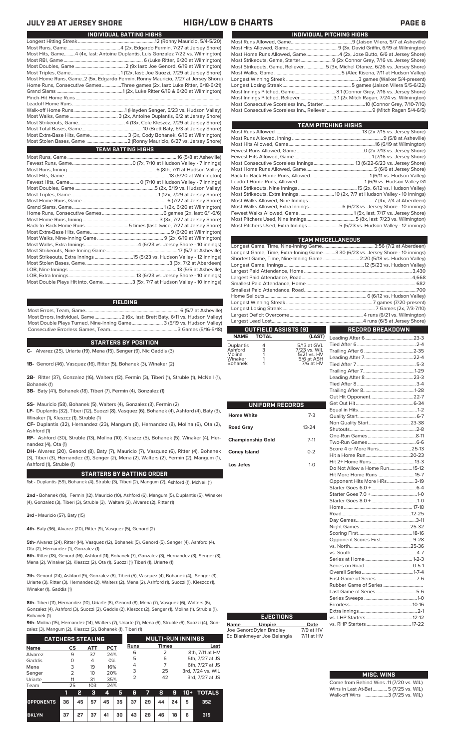### **JULY 29 AT JERSEY SHORE HIGH/LOW & CHARTS PAGE 6**

| INDIVIDUAL BATTING HIGHS                                                          |  |
|-----------------------------------------------------------------------------------|--|
|                                                                                   |  |
|                                                                                   |  |
| Most Hits, Game4 (4x, last: Antoine Duplantis, Luis Gonzalez 7/22 vs. Wilmington) |  |
|                                                                                   |  |
|                                                                                   |  |
|                                                                                   |  |
| Most Home Runs, Game2 (5x, Edgardo Fermin, Ronny Mauricio, 7/27 at Jersey Shore)  |  |
| Home Runs, Consecutive Games Three games (2x, last: Luke Ritter, 6/18-6/21)       |  |
|                                                                                   |  |
|                                                                                   |  |
|                                                                                   |  |
|                                                                                   |  |
|                                                                                   |  |
|                                                                                   |  |
|                                                                                   |  |
| Most Extra-Base Hits, Game 3 (3x, Cody Bohanek, 6/15 at Wilmington)               |  |
|                                                                                   |  |
| <b>TEAM BATTING HIGHS</b>                                                         |  |
|                                                                                   |  |
|                                                                                   |  |
|                                                                                   |  |
|                                                                                   |  |
|                                                                                   |  |

| Most Double Plays Hit into, Game3 (5x, 7/7 at Hudson Valley - 10 innings) |
|---------------------------------------------------------------------------|

### **FIELDING**

Most Errors, Team, Game...............................................................................6 (5/7 at Asheville) .<br>2 (6x, last: Brett Baty, 6/11 vs. Hudson Valley)<br>3 (5/19 vs. Hudson Valley) Most Double Plays Turned, Nine-Inning Game.......................... 3 (5/19 vs. Hudson Valley) Consecutive Errorless Games, Team.

### **STARTERS BY POSITION**

**C-** Alvarez (25), Uriarte (19), Mena (15), Senger (9), Nic Gaddis (3) **1B-** Genord (46), Vasquez (16), Ritter (5), Bohanek (3), Winaker (2)

**2B-** Ritter (37), Gonzalez (16), Walters (12), Fermin (3), Tiberi (1), Struble (1), McNeil (1), Bohanek (1)

**3B-** Baty (41), Bohanek (18), Tiberi (7), Fermin (4), Gonzalez (1)

**SS-** Mauricio (58), Bohanek (5), Walters (4), Gonzalez (3), Fermin (2)

**LF-** Duplantis (32), Tiberi (12), Suozzi (8), Vasquez (6), Bohanek (4), Ashford (4), Baty (3), Winaker (1), Kleszcz (1), Struble (1)

**CF-** Duplantis (32), Hernandez (23), Mangum (8), Hernandez (8), Molina (6), Ota (2), Ashford (1)

**RF-** Ashford (30), Struble (13), Molina (10), Kleszcz (5), Bohanek (5), Winaker (4), Hernandez (4), Ota (1)

**DH-** Alvarez (20), Genord (8), Baty (7), Mauricio (7), Vasquez (6), Ritter (4), Bohanek (3), Tiberi (3), Hernandez (3), Senger (2), Mena (2), Walters (2), Fermin (2), Mangum (1), Ashford (1), Struble (1)

### **STARTERS BY BATTING ORDER**

**1st -** Duplantis (59), Bohanek (4), Struble (3), Tiberi (2), Mangum (2), Ashford (1), McNeil (1)

**2nd -** Bohanek (18), Fermin (12), Mauricio (10), Ashford (6), Mangum (5), Duplantis (5), Winaker (4), Gonzalez (3), Tiberi (3), Struble (3), Walters (2), Alvarez (2), Ritter (1)

**3rd -** Mauricio (57), Baty (15)

**4th-** Baty (36), Alvarez (20), Ritter (9), Vasquez (5), Genord (2)

**5th-** Alvarez (24), Ritter (14), Vasquez (12), Bohanek (5), Genord (5), Senger (4), Ashford (4), Ota (2), Hernandez (1), Gonzalez (1)

**6th-** Ritter (18), Genord (16), Ashford (11), Bohanek (7), Gonzalez (3), Hernandez (3), Senger (3), Mena (2), Winaker (2), Kleszcz (2), Ota (1), Suozzi (1) Tiberi (1), Uriarte (1)

**7th-** Genord (24), Ashford (9), Gonzalez (6), Tiberi (5), Vasquez (4), Bohanek (4), Senger (3), Uriarte (3), Ritter (3), Hernandez (2), Walters (2), Mena (2), Ashford (1), Suozzi (1), Kleszcz (1), Winaker (1), Gaddis (1)

**8th-** Tiberi (11), Hernandez (10), Uriarte (8), Genord (8), Mena (7), Vasquez (6), Walters (6), Gonzalez (4), Ashford (3), Suozzi (2), Gaddis (2), Kleszcz (2), Senger (1), Molina (1), Struble (1), Bohanek (1)

**9th-** Molina (15), Hernandez (14), Walters (7), Uriarte (7), Mena (6), Struble (6), Suozzi (4), Gon-<br>zalez (3), Mangum (2), Kleszcz (2), Bohanek (1), Tiheri (1) zalez (3), Ma

|                          | $\epsilon$ and $\epsilon$ (9), mangem (2), not see (2), Donanch (1), moth (1) |   |                 |            |   |                          |  |              |   |                   |                 |
|--------------------------|-------------------------------------------------------------------------------|---|-----------------|------------|---|--------------------------|--|--------------|---|-------------------|-----------------|
| <b>CATCHERS STEALING</b> |                                                                               |   |                 |            |   | <b>MULTI-RUN INNINGS</b> |  |              |   |                   |                 |
| <b>Name</b>              | CS                                                                            |   | ATT             | <b>PCT</b> |   | <b>Runs</b>              |  | <b>Times</b> |   |                   | Last            |
| Alvarez                  | 9                                                                             |   | 37              | 24%        |   | 6                        |  |              |   |                   | 8th, 7/11 at HV |
| Gaddis                   | 0                                                                             |   | 4               | 0%         |   | 5                        |  | 6            |   |                   | 5th, 7/27 at JS |
| Mena                     | 3                                                                             |   | 19              | 16%        |   | 4                        |  |              |   | 6th, 7/27 at JS   |                 |
|                          | $\overline{2}$                                                                |   | 10 <sup>2</sup> | 20%        |   | 3                        |  | 25           |   | 3rd. 7/24 vs. WIL |                 |
| Senger                   |                                                                               |   |                 |            |   | っ                        |  | 42           |   | 3rd, 7/27 at JS   |                 |
| Uriarte                  | 11                                                                            |   | 31              | 35%        |   |                          |  |              |   |                   |                 |
| Team                     | 25                                                                            |   | 103             | 24%        |   |                          |  |              |   |                   |                 |
|                          |                                                                               | 2 | з               | 4          | 5 | 6                        |  | 8            | 9 | 10+               | <b>TOTALS</b>   |
|                          |                                                                               |   |                 |            |   |                          |  |              |   |                   |                 |

|              |  |  |  |                              |  | $1$ 2 3 4 5 6 7 8 9 10 + TOTALS |
|--------------|--|--|--|------------------------------|--|---------------------------------|
|              |  |  |  |                              |  |                                 |
| <b>BKLYN</b> |  |  |  | 37 27 37 41 30 43 28 46 18 6 |  | -315                            |

| ______________________________                                              |
|-----------------------------------------------------------------------------|
|                                                                             |
|                                                                             |
|                                                                             |
|                                                                             |
| Most Strikeouts, Game, Reliever5 (3x, Michel Otanez, 6/26 vs. Jersey Shore) |
|                                                                             |
|                                                                             |
|                                                                             |
|                                                                             |
|                                                                             |
|                                                                             |
|                                                                             |
|                                                                             |

| TEAM PITCHING HIGHS                                                       |
|---------------------------------------------------------------------------|
|                                                                           |
|                                                                           |
|                                                                           |
|                                                                           |
|                                                                           |
|                                                                           |
|                                                                           |
|                                                                           |
|                                                                           |
|                                                                           |
|                                                                           |
|                                                                           |
| Most Walks Allowed, Extra Innings 6 (6/23 vs. Jersey Shore - 10 innings)  |
|                                                                           |
|                                                                           |
| Most Pitchers Used, Extra Innings 5 (5/23 vs. Hudson Valley - 12 innings) |
|                                                                           |

|                   |                      |                           | <b>TEAM MISCELLANEOUS</b>                                                      |  |  |  |
|-------------------|----------------------|---------------------------|--------------------------------------------------------------------------------|--|--|--|
|                   |                      |                           |                                                                                |  |  |  |
|                   |                      |                           | Longest Game, Time, Extra-Inning Game3:30 (6/23 vs. Jersey Shore - 10 innings) |  |  |  |
|                   |                      |                           | Shortest Game, Time, Nine-Inning Game  2:20 (5/18 vs. Hudson Valley)           |  |  |  |
|                   |                      |                           |                                                                                |  |  |  |
|                   |                      |                           |                                                                                |  |  |  |
|                   |                      |                           |                                                                                |  |  |  |
|                   |                      |                           |                                                                                |  |  |  |
|                   |                      |                           |                                                                                |  |  |  |
|                   |                      |                           |                                                                                |  |  |  |
|                   |                      |                           |                                                                                |  |  |  |
|                   |                      |                           |                                                                                |  |  |  |
|                   |                      |                           |                                                                                |  |  |  |
|                   |                      |                           |                                                                                |  |  |  |
|                   | OUTFIELD ASSISTS [9] |                           | RECORD BREAKDOWN                                                               |  |  |  |
| <b>NAME</b>       | <b>TOTAL</b>         | (LAST)                    |                                                                                |  |  |  |
| Duplantis         |                      | 5/13 at GVL               |                                                                                |  |  |  |
| Ashford           | $\frac{4}{3}$        | 7/23 vs. WIL              |                                                                                |  |  |  |
| Molina<br>Winaker |                      | 5/21 vs. HV<br>5/6 at ASH |                                                                                |  |  |  |
| <b>Bohanek</b>    |                      | 7/6 at HV                 | 5.3<br>Tind After 7                                                            |  |  |  |

|                          |           | Οı                      |
|--------------------------|-----------|-------------------------|
| UNIFORM RECORDS          |           | Ge                      |
| <b>Home White</b>        | $7-3$     | Eq<br>Qι                |
| <b>Road Gray</b>         | $13 - 24$ | No<br>Sh                |
| <b>Championship Gold</b> | $7 - 11$  | Or<br><b>Tw</b>         |
| <b>Coney Island</b>      | $0 - 2$   | Sc<br>Hit               |
| Los Jefes                | $1-0$     | Hit<br>Dc               |
|                          |           | Hit<br>Op<br>Sta<br>Sta |
|                          |           | Sta<br>Hc<br>Ro<br>Da   |
|                          |           | Ni<br>Sc                |
|                          |           | Op<br>VS.<br>VS.        |
|                          |           | Se<br>Se                |
|                          |           | O٧<br>Fir               |
|                          |           | Ru                      |
|                          |           | La<br>Se                |
|                          |           | Err<br>Ex               |

Г

| Non Quality Start  23-38      |  |
|-------------------------------|--|
|                               |  |
|                               |  |
|                               |  |
| Score 4 or More Runs 25-13    |  |
|                               |  |
|                               |  |
| Do Not Allow a Home Run 15-12 |  |
| Hit More Home Runs 15-7       |  |
| Opponent Hits More HRs3-19    |  |
|                               |  |
|                               |  |
|                               |  |
|                               |  |
|                               |  |
|                               |  |
|                               |  |
|                               |  |
| Opponent Scores First 9-28    |  |
|                               |  |
|                               |  |
|                               |  |
|                               |  |
|                               |  |
|                               |  |
|                               |  |
| Last Game of Series 5-6       |  |
|                               |  |
|                               |  |
|                               |  |
|                               |  |
|                               |  |
|                               |  |

| <b>MISC. WINS</b>                        |
|------------------------------------------|
| Come from Behind Wins .11 (7/20 vs. WIL) |
| Wins in Last At-Bat 5 (7/25 vs. WIL)     |

Walk-off Wins ...................3 (7/25 vs. WIL)

# **EJECTIONS**

**Name Umpire Date** Joe GenordDylan Bradley 7/9 at HV Ed Blankmeyer Joe Belangia 7/11 at HV

**INDIVIDUAL PITCHING HIGHS**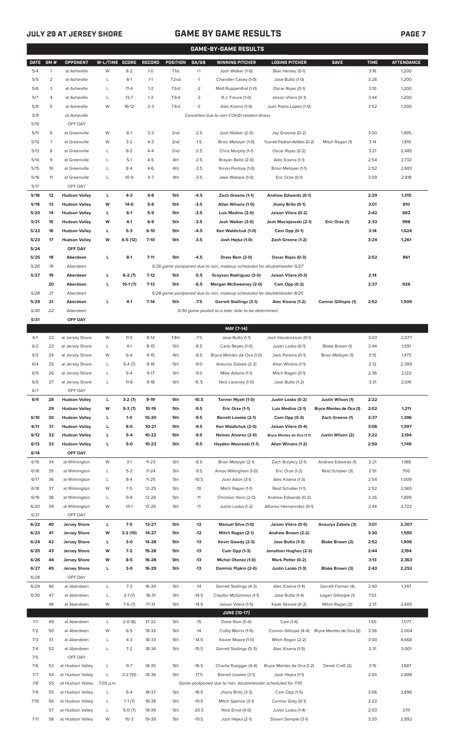## **JULY 29 AT JERSEY SHORE GAME BY GAME RESULTS**

|              | GAME-BY-GAME RESULTS |                                |                |                    |                    |                        |                  |                                                                         |                                        |                         |              |                   |
|--------------|----------------------|--------------------------------|----------------|--------------------|--------------------|------------------------|------------------|-------------------------------------------------------------------------|----------------------------------------|-------------------------|--------------|-------------------|
| <b>DATE</b>  | GM#                  | OPPONENT                       | W-L/TIME SCORE |                    | <b>RECORD</b>      | <b>POSITION</b>        | GA/GB            | <b>WINNING PITCHER</b>                                                  | <b>LOSING PITCHER</b>                  | <b>SAVE</b>             | <b>TIME</b>  | <b>ATTENDANCE</b> |
| 5/4          | 1                    | at Asheville                   | W              | $8 - 2$            | $1-0$              | T <sub>1st</sub>       | $+1$             | Josh Walker (1-0)                                                       | Blair Henley (0-1)                     |                         | 3:16         | 1,200             |
| 5/5          | 2                    | at Asheville                   | L              | $6-1$              | $1 - 1$            | T <sub>2</sub> nd      | $-1$             | Chandler Casey (1-0)                                                    | Jose Butto (1-0)                       |                         | 3:26         | 1,200             |
| 5/6          | 3                    | at Asheville                   | L              | $11 - 4$           | $1 - 2$            | T3rd                   | $-2$             | Matt Ruppenthal (1-0)                                                   | Oscar Rojas (0-1)                      |                         | 3:10         | 1,200             |
| 5/7          | 4                    | at Asheville                   | L              | $13 - 7$           | $1 - 3$            | T3rd                   | -3               | R.J. Freure (1-0)                                                       | Jaison Vilera (0-1)                    |                         | 3:44         | 1,200             |
| 5/8          | 5                    | at Asheville                   | W              | $16-12$            | $2 - 3$            | T3rd                   | $-3$             | Alec Kisena (1-0)                                                       | Juan Pablo Lopez (1-0)                 |                         | 3:52         | 1,200             |
| 5/9          |                      | at Asheville                   |                |                    |                    |                        |                  | Cancelled due to non-COVID-related illness                              |                                        |                         |              |                   |
| 5/10         |                      | OFF DAY                        |                |                    |                    |                        |                  |                                                                         |                                        |                         |              |                   |
| 5/11         | 6                    | at Greenville                  | W              | $6-1$              | $3 - 3$            | 2 <sub>nd</sub>        | $-2.5$           | Josh Walker (2-0)                                                       | Jay Groome (0-2)                       |                         | 3:00         | 1,995             |
| 5/12         | 7<br>8               | at Greenville                  | W<br>L         | $3 - 2$<br>$8 - 2$ | $4 - 3$<br>$4 - 4$ | 2nd                    | $-1.5$           | Brian Metoyer (1-0)                                                     | Yusniel Padron-Artilles (0-2)          | Mitch Ragan (1)         | 3:14<br>3:21 | 1,819             |
| 5/13<br>5/14 | 9                    | at Greenville<br>at Greenville | L              | $5-1$              | $4 - 5$            | 2 <sub>nd</sub><br>4th | $-2.5$<br>$-2.5$ | Chris Murphy (1-1)<br>Brayan Bello (2-0)                                | Oscar Rojas (0-2)<br>Alec Kisena (1-1) |                         | 2:54         | 2,485<br>2,732    |
| 5/15         | 10                   | at Greenville                  | L              | $8 - 4$            | $4-6$              | 4th                    | $-3.5$           | Yorvin Pantoja (1-0)                                                    | Brian Metoyer (1-1)                    |                         | 2:52         | 2,883             |
| 5/16         | 11                   | at Greenville                  | L              | $10-9$             | $4 - 7$            | 4th                    | $-3.5$           | Jake Wallace (1-0)                                                      | Eric Orze (0-1)                        |                         | 3:09         | 2,818             |
| 5/17         |                      | OFF DAY                        |                |                    |                    |                        |                  |                                                                         |                                        |                         |              |                   |
| 5/18         | 12                   | <b>Hudson Valley</b>           | L              | $4-3$              | $4 - 8$            | 5th                    | $-4.5$           | Zach Greene (1-1)                                                       | Andrew Edwards (0-1)                   |                         | 2:29         | 1,315             |
| 5/19         | 13                   | <b>Hudson Valley</b>           | W              | $14-0$             | $5-8$              | 5th                    | $-3.5$           | Allan Winans (1-0)                                                      | Jhony Brito (0-1)                      |                         | 3:01         | 810               |
| 5/20         | 14                   | <b>Hudson Valley</b>           | L              | $6-1$              | $5-9$              | 5th                    | $-3.5$           | Luis Medina (2-0)                                                       | Jaison Vilera (0-2)                    |                         | 2:42         | 682               |
| 5/21         | 15                   | <b>Hudson Valley</b>           | W              | 4-1                | $6-9$              | 5th                    | $-3.5$           | Josh Walker (3-0)                                                       | Josh Maciejewski (2-1)                 | Eric Orze (1)           | 2:33         | 998               |
| 5/22         | 16                   | <b>Hudson Valley</b>           | L              | $5-3$              | $6-10$             | 5th                    | $-4.5$           | Ken Waldichuk (1-0)                                                     | Cam Opp (0-1)                          |                         | 3:14         | 1,624             |
| 5/23         | 17                   | <b>Hudson Valley</b>           | W              | $6-5(12)$          | $7-10$             | 5th                    | $-3.5$           | Josh Hejka (1-0)                                                        | Zach Greene (1-2)                      |                         | 3:24         | 1,261             |
| 5/24         |                      | OFF DAY                        |                |                    |                    |                        |                  |                                                                         |                                        |                         |              |                   |
| 5/25         | 18                   | Aberdeen                       | г              | $8-1$              | $7 - 11$           | 5th                    | $-4.5$           | Drew Rom (2-0)                                                          | Oscar Rojas (0-3)                      |                         | 2:52         | 861               |
| 5/26         | 19                   | Aberdeen                       |                |                    |                    |                        |                  | 5/26 game postponed due to rain, makeup scheduled for doubleheader 5/27 |                                        |                         |              |                   |
| 5/27         | 19                   | Aberdeen                       | L              | $6-2(7)$           | $7-12$             | 5th                    | $-5.5$           | Grayson Rodriguez (3-0)                                                 | Jaison Vilera (0-3)                    |                         | 2:14         |                   |
|              | 20                   | Aberdeen                       | L              | $10-1(7)$          | $7-13$             | 5th                    | $-6.5$           | Morgan McSweeney (2-0)                                                  | Cam Opp (0-2)                          |                         | 2:37         | 926               |
| 5/28         | 21                   | Aberdeen                       |                |                    |                    |                        |                  | 5/28 game postponed due to rain, makeup scheduled for doubleheader 8/25 |                                        |                         |              |                   |
| 5/29         | 21                   | Aberdeen                       | г              | $4-1$              | $7-14$             | 5th                    | $-7.5$           | <b>Garrett Stallings (3-1)</b>                                          | Alec Kisena (1-2)                      | Connor Gillispie (1)    | 2:52         | 1,509             |
| 5/30         | 22                   | Aberdeen                       |                |                    |                    |                        |                  | 5/30 game posted to a later date to be determined                       |                                        |                         |              |                   |
| 5/31         |                      | OFF DAY                        |                |                    |                    |                        |                  |                                                                         |                                        |                         |              |                   |
|              |                      |                                |                |                    |                    |                        |                  | MAY [7-14]                                                              |                                        |                         |              |                   |
| 6/1          | 22                   | at Jersey Shore                | W              | $11-5$             | $8-14$             | T4th                   | $-7.5$           | Jose Butto (1-1)                                                        | Josh Hendrickson (0-1)                 |                         | 3:03         | 2,077             |
| 6/2          | 23                   | at Jersey Shore                | L              | $4-1$              | $8 - 15$           | 5th                    | $-8.5$           | Carlo Reyes (1-0)                                                       | Justin Lasko (0-1)                     | Blake Brown (1)         | 2:44         | 1,591             |
| 6/3          | 24                   | at Jersey Shore                | W              | $6 - 4$            | $9 - 15$           | 4th                    | $-8.5$           | Bryce Montes de Oca (1-0)                                               | Jack Perkins (0-1)                     | Brian Metoyer (1)       | 3:15         | 1,473             |
| 6/4          | 25                   | at Jersey Shore                | L              | $5-4(7)$           | $9-16$             | 5th                    | $-9.0$           | Aneurys Zabala (2-2)                                                    | Allan Winans (1-1)                     |                         | 2:12         | 2,399             |
| 6/5          | 26                   | at Jersey Shore                | L              | $5 - 4$            | $9-17$             | 5th                    | $-9.0$           | Mike Adams (1-1)                                                        | Mitch Ragan (0-1)                      |                         | 2:36         | 2,122             |
| 6/6<br>6/7   | 27                   | at Jersey Shore<br>OFF DAY     |                | $11-6$             | 9-18               | 5th                    | -95              | Nick Lackney (1-0)                                                      | Jose Butto (1-2)                       |                         | 3:31         | 2,041             |
| 6/9          | 28                   | <b>Hudson Valley</b>           | L              | $3-2(7)$           | $9-19$             | 5th                    | $-10.5$          | Tanner Myatt (1-0)                                                      | Justin Lasko (0-2)                     | Justin Wilson (1)       | 2:22         |                   |
|              | 29                   | <b>Hudson Valley</b>           | W              | $5-3(7)$           | 10-19              | 5th                    | $-9.5$           | Eric Orze (1-1)                                                         | Luis Medina (2-1)                      | Bryce Montes de Oca (1) | 2:02         | 1,211             |
| 6/10         | 30                   | <b>Hudson Valley</b>           | L              | $1 - 0$            | 10-20              | 5th                    | $-9.5$           | <b>Barrett Loseke (2-1)</b>                                             | Cam Opp (0-3)                          | Zach Greene (1)         | 2:37         | 1,396             |
| 6/11         | 31                   | <b>Hudson Valley</b>           | L              | $8-0$              | $10 - 21$          | 5th                    | $-9.5$           | Ken Waldichuk (2-0)                                                     | Jaison Vilera (0-4)                    |                         | 3:06         | 1,597             |
| 6/12         | 32                   | <b>Hudson Valley</b>           | г              | $5-4$              | 10-22              | 5th                    | $-9.5$           | Nelson Alvarez (2-0)                                                    | Bryce Montes de Oca (1-1)              | Justin Wilson (2)       | 3:22         | 2,194             |
| 6/13         | 33                   | <b>Hudson Valley</b>           | L              | $5-0$              | $10 - 23$          | 5th                    | $-9.5$           | Hayden Wesneski (1-1)                                                   | Allan Winans (1-2)                     |                         | 2:50         | 1,749             |
| 6/14         |                      | OFF DAY                        |                |                    |                    |                        |                  |                                                                         |                                        |                         |              |                   |
| 6/15         | 34                   | at Wilmington                  | W              | $3-1$              | $11 - 23$          | 5th                    | $-8.5$           | Brian Metoyer (2-1)                                                     | Zach Brzykcy (2-1)                     | Andrew Edwards (1)      | 2:21         | 1,188             |
| 6/16         | 35                   | at Wilmington                  | L              | $5 - 2$            | $11 - 24$          | 5th                    | $-9.5$           | Amos Willingham (1-0)                                                   | Eric Orze (1-2)                        | Reid Schaller (3)       | 2:51         | 700               |
| 6/17         | 36                   | at Wilmington                  | L              | $8 - 4$            | $11 - 25$          | 5th                    | $-10.5$          | Joan Adon (3-1)                                                         | Alec Kisena (1-3)                      |                         | 2:54         | 1,009             |
| 6/18         | 37                   | at Wilmington                  | W              | $7-5$              | 12-25              | 5th                    | $-10$            | Mitch Ragan (1-1)                                                       | Reid Schaller (1-1)                    |                         | 2:52         | 2,565             |
| 6/19         | 38                   | at Wilmington                  | L              | $9 - 8$            | 12-26              | 5th                    | $-11$            | Christian Vann (2-0)                                                    | Andrew Edwards (0-2)                   |                         | 3:26         | 1,899             |
| 6/20         | 39                   | at Wilmington                  | W              | $13-1$             | 13-26              | 5th                    | $-11$            | Justin Lasko (1-2)                                                      | Alfonso Hernanndez (0-1)               |                         | 2:44         | 2,722             |
| 6/21         |                      | OFF DAY                        |                |                    |                    |                        |                  |                                                                         |                                        |                         |              |                   |
| 6/22         | 40                   | <b>Jersey Shore</b>            | L              | $7-5$              | 13-27              | 5th                    | $-12$            | Manuel Silva (1-0)                                                      | Jaison Vilera (0-5)                    | Aneurys Zabala (3)      | 3:01         | 2,307             |
| 6/23         | 41                   | <b>Jersey Shore</b>            | W              | $3-2(10)$          | 14-27              | 5th                    | $-12$            | Mitch Ragan (2-1)                                                       | Andrew Brown (2-2)                     |                         | 3:30         | 1,595             |
| 6/24         | 42                   | <b>Jersey Shore</b>            | L              | $3-0$              | 14-28              | 5th                    | $-13$            | Kevin Gowdy (2-3)                                                       | Jose Butto (1-3)                       | Blake Brown (2)         | 2:52         | 1,906             |
| 6/25         | 43                   | <b>Jersey Shore</b>            | W              | $7-2$              | 15-28              | 5th                    | $-13$            | Cam Opp (1-3)                                                           | Jonathan Hughes (2-3)                  |                         | 2:44         | 2,194             |
| 6/26         | 44                   | <b>Jersey Shore</b>            | W              | $8-5$              | 16-28              | 5th                    | $-13$            | <b>Michel Otanez (1-0)</b>                                              | Mark Potter (0-2)                      |                         | 3:13         | 2,363             |
| 6/27         | 45                   | <b>Jersey Shore</b>            | L              | $3-0$              | 16-29              | 5th                    | $-13$            | Dominic Pipkin (2-0)                                                    | Justin Lasko (1-3)                     | Blake Brown (3)         | 2:43         | 2,253             |
| 6/28         |                      | OFF DAY                        |                |                    |                    |                        |                  |                                                                         |                                        |                         |              |                   |
| 6/29         | 46                   | at Aberdeen                    | L              | $7 - 3$            | 16-30              | 5th                    | $-14$            | Garrett Stallings (4-3)                                                 | Alec Kisena (1-4)                      | Garrett Farmer (4)      | 2:40         | 1,347             |
| 6/30         | 47                   | at Aberdeen                    | L              | $2-1(7)$           | 16-31              | 5th                    | $-14.5$          | Clayton McGinness (1-1)                                                 | Jose Butto (1-4)                       | Logan Gillaspie (1)     | 1:53         |                   |
|              | 48                   | at Aberdeen                    | W              | $7-6(7)$           | 17-31              | 5th                    | $-14.5$          | Jaison Vilera (1-5)                                                     | Kade Strowd (0-2)                      | Mitch Ragan (2)         | 2:31         | 2,405             |
|              |                      |                                |                |                    |                    |                        |                  | <b>JUNE (10-17)</b>                                                     |                                        |                         |              |                   |
| 7/1          | 49                   | at Aberdeen                    | L              | $2-0(6)$           | 17-32              | 5th                    | $-15$            | Drew Rom (5-0)                                                          | Cam (1-4)                              |                         | 1:50         | 1,077             |
| 7/2          | 50                   | at Aberdeen                    | W              | $6 - 5$            | 18-32              | 5th                    | $-14$            | Colby Morris (1-0)                                                      | Connor Gillispie (4-4)                 | Bryce Montes de Oca (2) | 3:56         | 2,004             |
| 7/3          | 51                   | at Aberdeen                    | L              | $4 - 3$            | 18-33              | 5th                    | $-14.5$          | Xavier Moore (1-0)                                                      | Mitch Ragan (2-2)                      |                         | 3:00         | 4,668             |
| 7/4          | 52                   | at Aberdeen                    | L              | $7 - 2$            | 18-34              | 5th                    | $-15.5$          | Garrett Stallings (5-3)                                                 | Alec Kisena (1-5)                      |                         | 2:31         | 3,001             |
| 7/5<br>7/6   | 53                   | OFF DAY<br>at Hudson Valley    | L              | $9 - 7$            | 18-35              | 5th                    | $-16.5$          |                                                                         | Bryce Montes de Oca (1-2)              | Derek Craft (2)         | 3:15         | 1,687             |
| 7/7          | 54                   | at Hudson Valley               | L              | $3-2(10)$          | 18-36              | 5th                    | $-17.5$          | Charlie Ruegger (4-4)<br>Barrett Loseke (3-1)                           | Josh Hejka (1-1)                       |                         | 2:55         | 2,688             |
| 7/8          | 55                   | at Hudson Valley               | 7:05 p.m.      |                    |                    |                        |                  | Game postponed due to rain, doubleheader scheduled for 7/10             |                                        |                         |              |                   |
| 7/9          | 55                   | at Hudson Valley               | L              | $6 - 4$            | 18-37              | 5th                    | $-18.5$          | Jhony Brito (3-3)                                                       | Cam Opp (1-5)                          |                         | 3:06         | 3,896             |
| 7/10         | 56                   | at Hudson Valley               | L              | $7-1(7)$           | 18-38              | 5th                    | $-19.5$          | Mitch Spence (3-1)                                                      | Connor Grey (0-1)                      |                         | 2:22         |                   |
|              | 57                   | at Hudson Valley               | L              | $5-0(7)$           | 18-39              | 5th                    | $-20.5$          | Nick Ernst (4-0)                                                        | Justin Lasko (1-4)                     |                         | 2:03         | 3,111             |
| 7/11         |                      | 58 at Hudson Valley            | W              | $10-3$             | 19-39              | 5th                    | $-19.5$          | Josh Hejka (2-1)                                                        | Shawn Semple (3-1)                     |                         | 3:20         | 2,892             |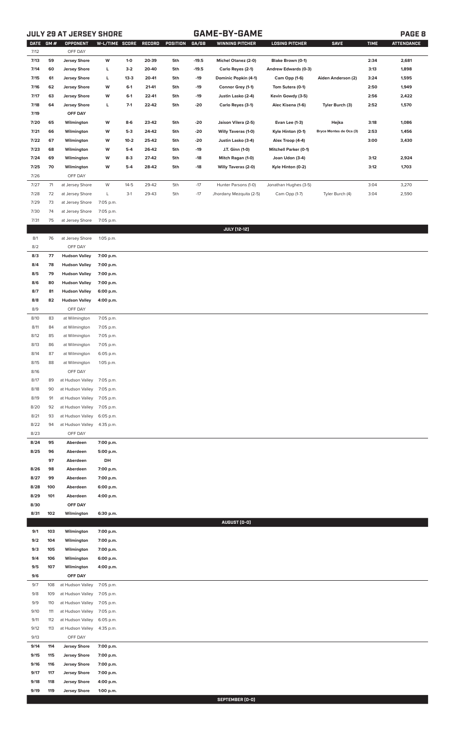## **JULY 29 AT JERSEY SHORE GAME-BY-GAME PAGE 8**

| <b>DATE</b>  | GM#        | OPPONENT                        | W-L/TIME SCORE |         | RECORD | <b>POSITION</b> | GA/GB   | <b>WINNING PITCHER</b>  | <b>LOSING PITCHER</b>        | <b>SAVE</b>             | <b>TIME</b> | <b>ATTENDANCE</b> |
|--------------|------------|---------------------------------|----------------|---------|--------|-----------------|---------|-------------------------|------------------------------|-------------------------|-------------|-------------------|
| 7/12         |            | OFF DAY                         |                |         |        |                 |         |                         |                              |                         |             |                   |
| 7/13         | 59         | <b>Jersey Shore</b>             | W              | $1-0$   | 20-39  | 5th             | $-19.5$ | Michel Otanez (2-0)     | Blake Brown (0-1)            |                         | 2:34        | 2,681             |
| 7/14         | 60         | <b>Jersey Shore</b>             | г              | $3-2$   | 20-40  | 5th             | $-19.5$ | Carlo Reyes (2-1)       | Andrew Edwards (0-3)         |                         | 3:13        | 1,898             |
| 7/15         | 61         | <b>Jersey Shore</b>             | г              | $13-3$  | 20-41  | 5th             | $-19$   | Dominic Popkin (4-1)    | Cam Opp (1-6)                | Aiden Anderson (2)      | 3:24        | 1,595             |
| 7/16         | 62         | <b>Jersey Shore</b>             | W              | $6-1$   | 21-41  | 5th             | -19     | Connor Grey (1-1)       | Tom Sutera (0-1)             |                         | 2:50        | 1,949             |
| 7/17         | 63         | <b>Jersey Shore</b>             | W              | $6-1$   | 22-41  | 5th             | -19     | Justin Lasko (2-4)      | Kevin Gowdy (3-5)            |                         | 2:56        | 2,422             |
| 7/18         | 64         | <b>Jersey Shore</b>             | L              | $7-1$   | 22-42  | 5th             | -20     | Carlo Reyes (3-1)       | Alec Kisena (1-6)            | Tyler Burch (3)         | 2:52        | 1,570             |
| 7/19<br>7/20 | 65         | OFF DAY<br>Wilmington           | W              | $8-6$   | 23-42  | 5th             | -20     | Jaison Vilera (2-5)     | Evan Lee (1-3)               | Hejka                   | 3:18        | 1,086             |
| 7/21         | 66         | Wilmington                      | W              | $5-3$   | 24-42  | 5th             | -20     | Willy Taveras (1-0)     | Kyle Hinton (0-1)            | Bryce Montes de Oca (3) | 2:53        | 1,456             |
| 7/22         | 67         | Wilmington                      | W              | $10-2$  | 25-42  | 5th             | -20     | Justin Lasko (3-4)      | Alex Troop (4-4)             |                         | 3:00        | 3,430             |
| 7/23         | 68         | Wilmington                      | W              | $5-4$   | 26-42  | 5th             | -19     | J.T. Ginn (1-0)         | <b>Mitchell Parker (0-1)</b> |                         |             |                   |
| 7/24         | 69         | Wilmington                      | W              | $8-3$   | 27-42  | 5th             | -18     | Mitch Ragan (1-0)       | Joan Udon (3-4)              |                         | 3:12        | 2,924             |
| 7/25         | 70         | Wilmington                      | W              | $5 - 4$ | 28-42  | 5th             | -18     | Willy Taveras (2-0)     | Kyle Hinton (0-2)            |                         | 3:12        | 1,703             |
| 7/26         |            | OFF DAY                         |                |         |        |                 |         |                         |                              |                         |             |                   |
| $7/27$       | 71         | at Jersey Shore                 | W              | $14-5$  | 29-42  | 5th             | $-17$   | Hunter Parsons (1-0)    | Jonathan Hughes (3-5)        |                         | 3:04        | 3,270             |
| 7/28         | 72         | at Jersey Shore                 | L              | $3-1$   | 29-43  | 5th             | $-17$   | Jhordany Mezquita (2-5) | Cam Opp (1-7)                | Tyler Burch (4)         | 3:04        | 2,590             |
| 7/29         | 73         | at Jersey Shore                 | 7:05 p.m.      |         |        |                 |         |                         |                              |                         |             |                   |
| 7/30         | 74         | at Jersey Shore                 | 7:05 p.m.      |         |        |                 |         |                         |                              |                         |             |                   |
| 7/31         | 75         | at Jersey Shore                 | 7:05 p.m.      |         |        |                 |         |                         |                              |                         |             |                   |
|              |            |                                 |                |         |        |                 |         | <b>JULY (12-12)</b>     |                              |                         |             |                   |
| 8/1          | 76         | at Jersey Shore                 | 1:05 p.m.      |         |        |                 |         |                         |                              |                         |             |                   |
| 8/2          |            | OFF DAY                         |                |         |        |                 |         |                         |                              |                         |             |                   |
| 8/3          | 77         | <b>Hudson Valley</b>            | 7:00 p.m.      |         |        |                 |         |                         |                              |                         |             |                   |
| 8/4          | 78         | <b>Hudson Valley</b>            | 7:00 p.m.      |         |        |                 |         |                         |                              |                         |             |                   |
| 8/5          | 79         | <b>Hudson Valley</b>            | 7:00 p.m.      |         |        |                 |         |                         |                              |                         |             |                   |
| 8/6          | 80         | <b>Hudson Valley</b>            | 7:00 p.m.      |         |        |                 |         |                         |                              |                         |             |                   |
| 8/7          | 81         | <b>Hudson Valley</b>            | 6:00 p.m.      |         |        |                 |         |                         |                              |                         |             |                   |
| 8/8<br>8/9   | 82         | <b>Hudson Valley</b><br>OFF DAY | 4:00 p.m.      |         |        |                 |         |                         |                              |                         |             |                   |
| 8/10         | 83         | at Wilmington                   | 7:05 p.m.      |         |        |                 |         |                         |                              |                         |             |                   |
| 8/11         | 84         | at Wilmington                   | 7:05 p.m.      |         |        |                 |         |                         |                              |                         |             |                   |
| 8/12         | 85         | at Wilmington                   | 7:05 p.m.      |         |        |                 |         |                         |                              |                         |             |                   |
| 8/13         | 86         | at Wilmington                   | 7:05 p.m.      |         |        |                 |         |                         |                              |                         |             |                   |
| 8/14         | 87         | at Wilmington                   | 6:05 p.m.      |         |        |                 |         |                         |                              |                         |             |                   |
| 8/15         | 88         | at Wilmington                   | 1:05 p.m.      |         |        |                 |         |                         |                              |                         |             |                   |
| 8/16         |            | OFF DAY                         |                |         |        |                 |         |                         |                              |                         |             |                   |
| 8/17         | 89         | at Hudson Valley 7:05 p.m.      |                |         |        |                 |         |                         |                              |                         |             |                   |
| 8/18         | 90         | at Hudson Valley                | 7:05 p.m.      |         |        |                 |         |                         |                              |                         |             |                   |
| 8/19         | 91         | at Hudson Valley                | 7:05 p.m.      |         |        |                 |         |                         |                              |                         |             |                   |
| 8/20         | 92         | at Hudson Valley                | 7:05 p.m.      |         |        |                 |         |                         |                              |                         |             |                   |
| 8/21         | 93         | at Hudson Valley                | 6:05 p.m.      |         |        |                 |         |                         |                              |                         |             |                   |
| 8/22         | 94         | at Hudson Valley                | 4:35 p.m.      |         |        |                 |         |                         |                              |                         |             |                   |
| 8/23         |            | OFF DAY                         |                |         |        |                 |         |                         |                              |                         |             |                   |
| 8/24         | 95         | Aberdeen                        | 7:00 p.m.      |         |        |                 |         |                         |                              |                         |             |                   |
| 8/25         | 96         | Aberdeen                        | 5:00 p.m.      |         |        |                 |         |                         |                              |                         |             |                   |
|              | 97         | Aberdeen                        | DH             |         |        |                 |         |                         |                              |                         |             |                   |
| 8/26         | 98         | Aberdeen                        | 7:00 p.m.      |         |        |                 |         |                         |                              |                         |             |                   |
| 8/27         | 99         | Aberdeen                        | 7:00 p.m.      |         |        |                 |         |                         |                              |                         |             |                   |
| 8/28<br>8/29 | 100<br>101 | Aberdeen                        | 6:00 p.m.      |         |        |                 |         |                         |                              |                         |             |                   |
| 8/30         |            | Aberdeen<br>OFF DAY             | 4:00 p.m.      |         |        |                 |         |                         |                              |                         |             |                   |
| 8/31         | 102        | Wilmington                      | 6:30 p.m.      |         |        |                 |         |                         |                              |                         |             |                   |
|              |            |                                 |                |         |        |                 |         | AUGUST (0-0)            |                              |                         |             |                   |
| 9/1          | 103        | Wilmington                      | 7:00 p.m.      |         |        |                 |         |                         |                              |                         |             |                   |
| 9/2          | 104        | Wilmington                      | 7:00 p.m.      |         |        |                 |         |                         |                              |                         |             |                   |
| 9/3          | 105        | Wilmington                      | 7:00 p.m.      |         |        |                 |         |                         |                              |                         |             |                   |
| 9/4          | 106        | Wilmington                      | 6:00 p.m.      |         |        |                 |         |                         |                              |                         |             |                   |
| 9/5          | 107        | Wilmington                      | 4:00 p.m.      |         |        |                 |         |                         |                              |                         |             |                   |
| 9/6          |            | OFF DAY                         |                |         |        |                 |         |                         |                              |                         |             |                   |
| 9/7          | 108        | at Hudson Valley                | 7:05 p.m.      |         |        |                 |         |                         |                              |                         |             |                   |
| 9/8          | 109        | at Hudson Valley                | 7:05 p.m.      |         |        |                 |         |                         |                              |                         |             |                   |
| 9/9          | 110        | at Hudson Valley                | 7:05 p.m.      |         |        |                 |         |                         |                              |                         |             |                   |
| 9/10         | 111        | at Hudson Valley                | 7:05 p.m.      |         |        |                 |         |                         |                              |                         |             |                   |
| 9/11         | 112        | at Hudson Valley                | 6:05 p.m.      |         |        |                 |         |                         |                              |                         |             |                   |
| 9/12<br>9/13 | 113        | at Hudson Valley<br>OFF DAY     | 4:35 p.m.      |         |        |                 |         |                         |                              |                         |             |                   |
| 9/14         | 114        | <b>Jersey Shore</b>             | 7:00 p.m.      |         |        |                 |         |                         |                              |                         |             |                   |
| 9/15         | 115        | <b>Jersey Shore</b>             | 7:00 p.m.      |         |        |                 |         |                         |                              |                         |             |                   |
| 9/16         | 116        | <b>Jersey Shore</b>             | 7:00 p.m.      |         |        |                 |         |                         |                              |                         |             |                   |
| 9/17         | 117        | <b>Jersey Shore</b>             | 7:00 p.m.      |         |        |                 |         |                         |                              |                         |             |                   |
| 9/18         | 118        | <b>Jersey Shore</b>             | 4:00 p.m.      |         |        |                 |         |                         |                              |                         |             |                   |
| 9/19         | 119        | <b>Jersey Shore</b>             | 1:00 p.m.      |         |        |                 |         |                         |                              |                         |             |                   |

**SEPTEMBER (0-0)**